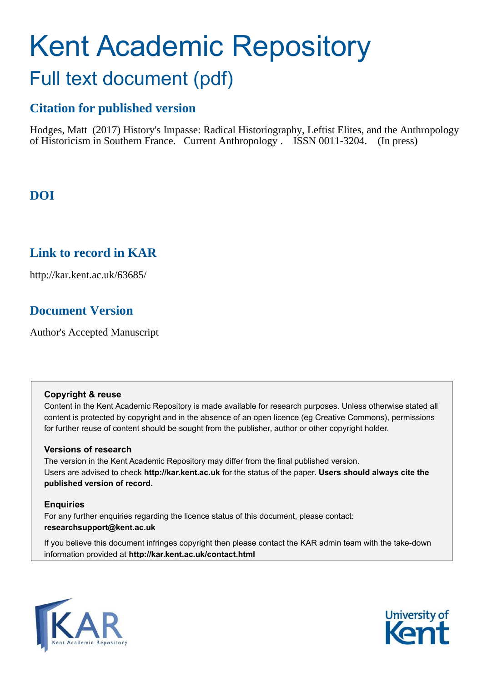# Kent Academic Repository Full text document (pdf)

## **Citation for published version**

Hodges, Matt (2017) History's Impasse: Radical Historiography, Leftist Elites, and the Anthropology of Historicism in Southern France. Current Anthropology . ISSN 0011-3204. (In press)

## **DOI**

## **Link to record in KAR**

http://kar.kent.ac.uk/63685/

## **Document Version**

Author's Accepted Manuscript

#### **Copyright & reuse**

Content in the Kent Academic Repository is made available for research purposes. Unless otherwise stated all content is protected by copyright and in the absence of an open licence (eg Creative Commons), permissions for further reuse of content should be sought from the publisher, author or other copyright holder.

#### **Versions of research**

The version in the Kent Academic Repository may differ from the final published version. Users are advised to check **http://kar.kent.ac.uk** for the status of the paper. **Users should always cite the published version of record.**

#### **Enquiries**

For any further enquiries regarding the licence status of this document, please contact: **researchsupport@kent.ac.uk**

If you believe this document infringes copyright then please contact the KAR admin team with the take-down information provided at **http://kar.kent.ac.uk/contact.html**



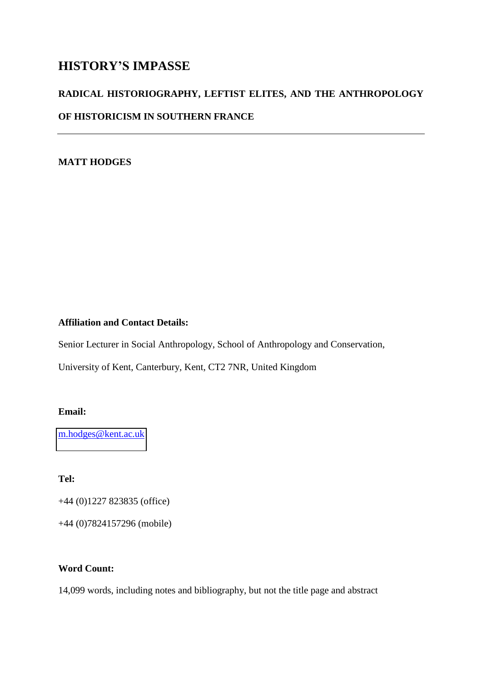### **HISTORY'S IMPASSE**

# **RADICAL HISTORIOGRAPHY, LEFTIST ELITES, AND THE ANTHROPOLOGY OF HISTORICISM IN SOUTHERN FRANCE**

#### **MATT HODGES**

#### **Affiliation and Contact Details:**

Senior Lecturer in Social Anthropology, School of Anthropology and Conservation,

University of Kent, Canterbury, Kent, CT2 7NR, United Kingdom

#### **Email:**

[m.hodges@kent.ac.uk](mailto:m.hodges@kent.ac.uk) 

**Tel:**

+44 (0)1227 823835 (office)

+44 (0)7824157296 (mobile)

#### **Word Count:**

14,099 words, including notes and bibliography, but not the title page and abstract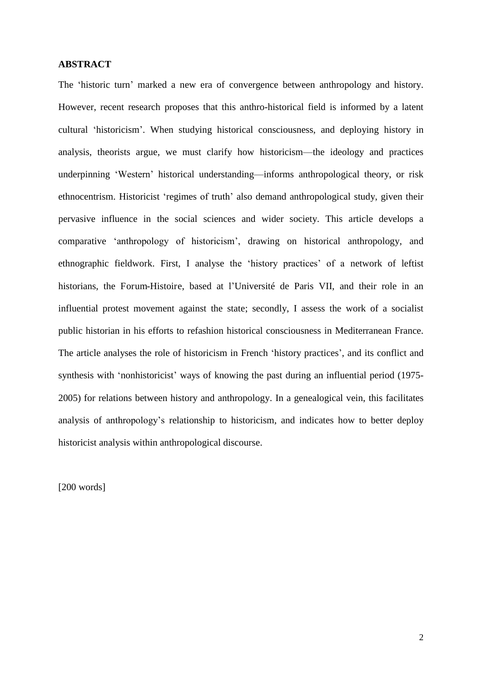#### **ABSTRACT**

The 'historic turn' marked a new era of convergence between anthropology and history. However, recent research proposes that this anthro-historical field is informed by a latent cultural 'historicism'. When studying historical consciousness, and deploying history in analysis, theorists argue, we must clarify how historicism—the ideology and practices underpinning 'Western' historical understanding—informs anthropological theory, or risk ethnocentrism. Historicist 'regimes of truth' also demand anthropological study, given their pervasive influence in the social sciences and wider society. This article develops a comparative 'anthropology of historicism', drawing on historical anthropology, and ethnographic fieldwork. First, I analyse the 'history practices' of a network of leftist historians, the Forum-Histoire, based at l'Université de Paris VII, and their role in an influential protest movement against the state; secondly, I assess the work of a socialist public historian in his efforts to refashion historical consciousness in Mediterranean France. The article analyses the role of historicism in French 'history practices', and its conflict and synthesis with 'nonhistoricist' ways of knowing the past during an influential period (1975- 2005) for relations between history and anthropology. In a genealogical vein, this facilitates analysis of anthropology's relationship to historicism, and indicates how to better deploy historicist analysis within anthropological discourse.

[200 words]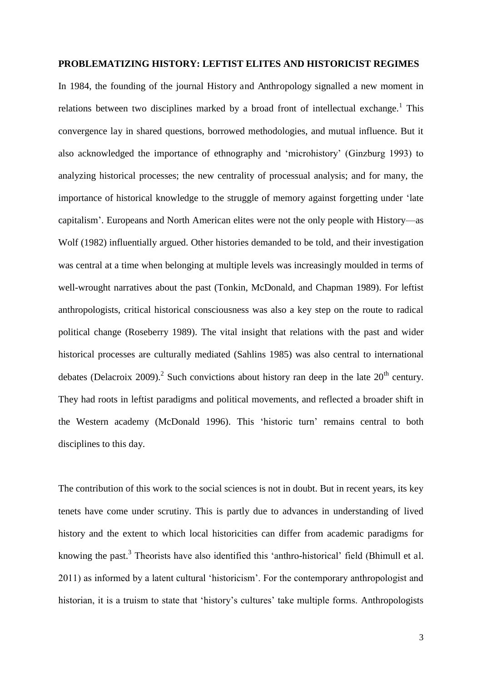#### **PROBLEMATIZING HISTORY: LEFTIST ELITES AND HISTORICIST REGIMES**

In 1984, the founding of the journal History and Anthropology signalled a new moment in relations between two disciplines marked by a broad front of intellectual exchange.<sup>1</sup> This convergence lay in shared questions, borrowed methodologies, and mutual influence. But it also acknowledged the importance of ethnography and 'microhistory' (Ginzburg 1993) to analyzing historical processes; the new centrality of processual analysis; and for many, the importance of historical knowledge to the struggle of memory against forgetting under 'late capitalism'. Europeans and North American elites were not the only people with History—as Wolf (1982) influentially argued. Other histories demanded to be told, and their investigation was central at a time when belonging at multiple levels was increasingly moulded in terms of well-wrought narratives about the past (Tonkin, McDonald, and Chapman 1989). For leftist anthropologists, critical historical consciousness was also a key step on the route to radical political change (Roseberry 1989). The vital insight that relations with the past and wider historical processes are culturally mediated (Sahlins 1985) was also central to international debates (Delacroix 2009).<sup>2</sup> Such convictions about history ran deep in the late  $20<sup>th</sup>$  century. They had roots in leftist paradigms and political movements, and reflected a broader shift in the Western academy (McDonald 1996). This 'historic turn' remains central to both disciplines to this day.

The contribution of this work to the social sciences is not in doubt. But in recent years, its key tenets have come under scrutiny. This is partly due to advances in understanding of lived history and the extent to which local historicities can differ from academic paradigms for knowing the past.<sup>3</sup> Theorists have also identified this 'anthro-historical' field (Bhimull et al. 2011) as informed by a latent cultural 'historicism'. For the contemporary anthropologist and historian, it is a truism to state that 'history's cultures' take multiple forms. Anthropologists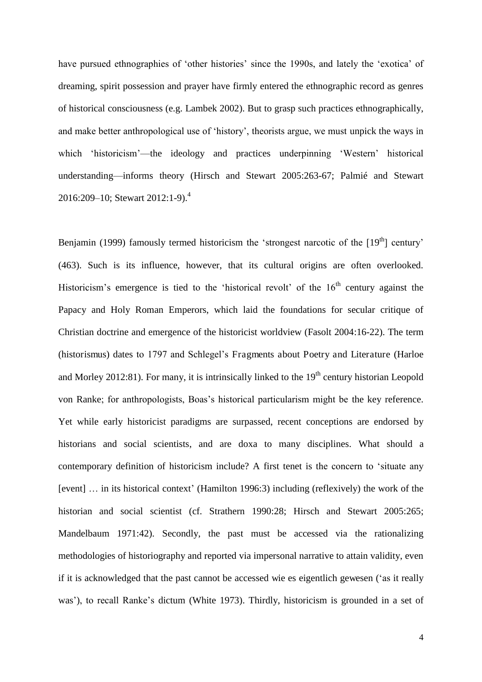have pursued ethnographies of 'other histories' since the 1990s, and lately the 'exotica' of dreaming, spirit possession and prayer have firmly entered the ethnographic record as genres of historical consciousness (e.g. Lambek 2002). But to grasp such practices ethnographically, and make better anthropological use of 'history', theorists argue, we must unpick the ways in which 'historicism'—the ideology and practices underpinning 'Western' historical understanding—informs theory (Hirsch and Stewart 2005:263-67; Palmié and Stewart 2016:209–10; Stewart 2012:1-9).<sup>4</sup>

Benjamin (1999) famously termed historicism the 'strongest narcotic of the  $[19<sup>th</sup>]$  century' (463). Such is its influence, however, that its cultural origins are often overlooked. Historicism's emergence is tied to the 'historical revolt' of the  $16<sup>th</sup>$  century against the Papacy and Holy Roman Emperors, which laid the foundations for secular critique of Christian doctrine and emergence of the historicist worldview (Fasolt 2004:16-22). The term (historismus) dates to 1797 and Schlegel's Fragments about Poetry and Literature (Harloe and Morley 2012:81). For many, it is intrinsically linked to the  $19<sup>th</sup>$  century historian Leopold von Ranke; for anthropologists, Boas's historical particularism might be the key reference. Yet while early historicist paradigms are surpassed, recent conceptions are endorsed by historians and social scientists, and are doxa to many disciplines. What should a contemporary definition of historicism include? A first tenet is the concern to 'situate any [event] … in its historical context' (Hamilton 1996:3) including (reflexively) the work of the historian and social scientist (cf. Strathern 1990:28; Hirsch and Stewart 2005:265; Mandelbaum 1971:42). Secondly, the past must be accessed via the rationalizing methodologies of historiography and reported via impersonal narrative to attain validity, even if it is acknowledged that the past cannot be accessed wie es eigentlich gewesen ('as it really was'), to recall Ranke's dictum (White 1973). Thirdly, historicism is grounded in a set of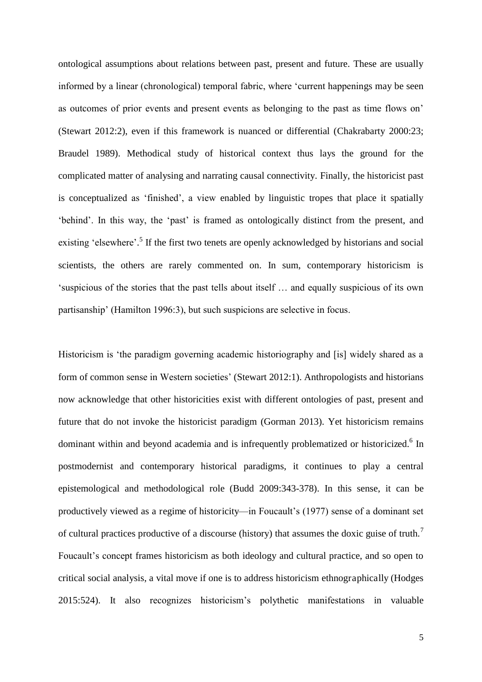ontological assumptions about relations between past, present and future. These are usually informed by a linear (chronological) temporal fabric, where 'current happenings may be seen as outcomes of prior events and present events as belonging to the past as time flows on' (Stewart 2012:2), even if this framework is nuanced or differential (Chakrabarty 2000:23; Braudel 1989). Methodical study of historical context thus lays the ground for the complicated matter of analysing and narrating causal connectivity. Finally, the historicist past is conceptualized as 'finished', a view enabled by linguistic tropes that place it spatially 'behind'. In this way, the 'past' is framed as ontologically distinct from the present, and existing 'elsewhere'.<sup>5</sup> If the first two tenets are openly acknowledged by historians and social scientists, the others are rarely commented on. In sum, contemporary historicism is 'suspicious of the stories that the past tells about itself … and equally suspicious of its own partisanship' (Hamilton 1996:3), but such suspicions are selective in focus.

Historicism is 'the paradigm governing academic historiography and [is] widely shared as a form of common sense in Western societies' (Stewart 2012:1). Anthropologists and historians now acknowledge that other historicities exist with different ontologies of past, present and future that do not invoke the historicist paradigm (Gorman 2013). Yet historicism remains dominant within and beyond academia and is infrequently problematized or historicized.<sup>6</sup> In postmodernist and contemporary historical paradigms, it continues to play a central epistemological and methodological role (Budd 2009:343-378). In this sense, it can be productively viewed as a regime of historicity—in Foucault's (1977) sense of a dominant set of cultural practices productive of a discourse (history) that assumes the doxic guise of truth.<sup>7</sup> Foucault's concept frames historicism as both ideology and cultural practice, and so open to critical social analysis, a vital move if one is to address historicism ethnographically (Hodges 2015:524). It also recognizes historicism's polythetic manifestations in valuable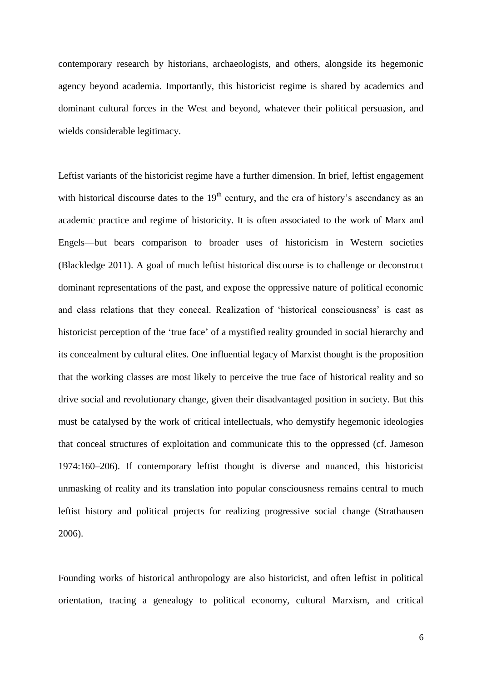contemporary research by historians, archaeologists, and others, alongside its hegemonic agency beyond academia. Importantly, this historicist regime is shared by academics and dominant cultural forces in the West and beyond, whatever their political persuasion, and wields considerable legitimacy.

Leftist variants of the historicist regime have a further dimension. In brief, leftist engagement with historical discourse dates to the  $19<sup>th</sup>$  century, and the era of history's ascendancy as an academic practice and regime of historicity. It is often associated to the work of Marx and Engels—but bears comparison to broader uses of historicism in Western societies (Blackledge 2011). A goal of much leftist historical discourse is to challenge or deconstruct dominant representations of the past, and expose the oppressive nature of political economic and class relations that they conceal. Realization of 'historical consciousness' is cast as historicist perception of the 'true face' of a mystified reality grounded in social hierarchy and its concealment by cultural elites. One influential legacy of Marxist thought is the proposition that the working classes are most likely to perceive the true face of historical reality and so drive social and revolutionary change, given their disadvantaged position in society. But this must be catalysed by the work of critical intellectuals, who demystify hegemonic ideologies that conceal structures of exploitation and communicate this to the oppressed (cf. Jameson 1974:160–206). If contemporary leftist thought is diverse and nuanced, this historicist unmasking of reality and its translation into popular consciousness remains central to much leftist history and political projects for realizing progressive social change (Strathausen 2006).

Founding works of historical anthropology are also historicist, and often leftist in political orientation, tracing a genealogy to political economy, cultural Marxism, and critical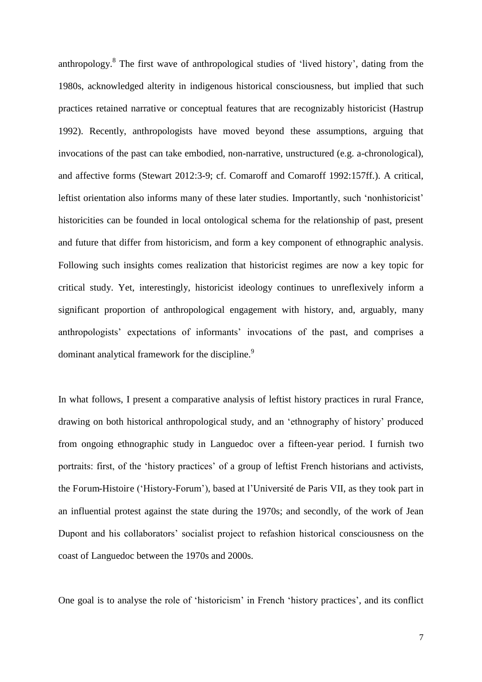anthropology.<sup>8</sup> The first wave of anthropological studies of 'lived history', dating from the 1980s, acknowledged alterity in indigenous historical consciousness, but implied that such practices retained narrative or conceptual features that are recognizably historicist (Hastrup 1992). Recently, anthropologists have moved beyond these assumptions, arguing that invocations of the past can take embodied, non-narrative, unstructured (e.g. a-chronological), and affective forms (Stewart 2012:3-9; cf. Comaroff and Comaroff 1992:157ff.). A critical, leftist orientation also informs many of these later studies. Importantly, such 'nonhistoricist' historicities can be founded in local ontological schema for the relationship of past, present and future that differ from historicism, and form a key component of ethnographic analysis. Following such insights comes realization that historicist regimes are now a key topic for critical study. Yet, interestingly, historicist ideology continues to unreflexively inform a significant proportion of anthropological engagement with history, and, arguably, many anthropologists' expectations of informants' invocations of the past, and comprises a dominant analytical framework for the discipline.<sup>9</sup>

In what follows, I present a comparative analysis of leftist history practices in rural France, drawing on both historical anthropological study, and an 'ethnography of history' produced from ongoing ethnographic study in Languedoc over a fifteen-year period. I furnish two portraits: first, of the 'history practices' of a group of leftist French historians and activists, the Forum-Histoire ('History-Forum'), based at l'Université de Paris VII, as they took part in an influential protest against the state during the 1970s; and secondly, of the work of Jean Dupont and his collaborators' socialist project to refashion historical consciousness on the coast of Languedoc between the 1970s and 2000s.

One goal is to analyse the role of 'historicism' in French 'history practices', and its conflict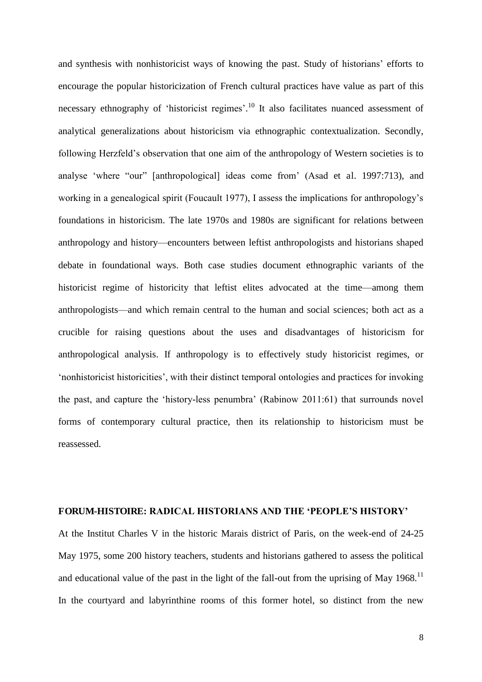and synthesis with nonhistoricist ways of knowing the past. Study of historians' efforts to encourage the popular historicization of French cultural practices have value as part of this necessary ethnography of 'historicist regimes'.<sup>10</sup> It also facilitates nuanced assessment of analytical generalizations about historicism via ethnographic contextualization. Secondly, following Herzfeld's observation that one aim of the anthropology of Western societies is to analyse 'where "our" [anthropological] ideas come from' (Asad et al. 1997:713), and working in a genealogical spirit (Foucault 1977), I assess the implications for anthropology's foundations in historicism. The late 1970s and 1980s are significant for relations between anthropology and history—encounters between leftist anthropologists and historians shaped debate in foundational ways. Both case studies document ethnographic variants of the historicist regime of historicity that leftist elites advocated at the time—among them anthropologists—and which remain central to the human and social sciences; both act as a crucible for raising questions about the uses and disadvantages of historicism for anthropological analysis. If anthropology is to effectively study historicist regimes, or 'nonhistoricist historicities', with their distinct temporal ontologies and practices for invoking the past, and capture the 'history-less penumbra' (Rabinow 2011:61) that surrounds novel forms of contemporary cultural practice, then its relationship to historicism must be reassessed.

#### **FORUM-HISTOIRE: RADICAL HISTORIANS AND THE 'PEOPLE'S HISTORY'**

At the Institut Charles V in the historic Marais district of Paris, on the week-end of 24-25 May 1975, some 200 history teachers, students and historians gathered to assess the political and educational value of the past in the light of the fall-out from the uprising of May 1968.<sup>11</sup> In the courtyard and labyrinthine rooms of this former hotel, so distinct from the new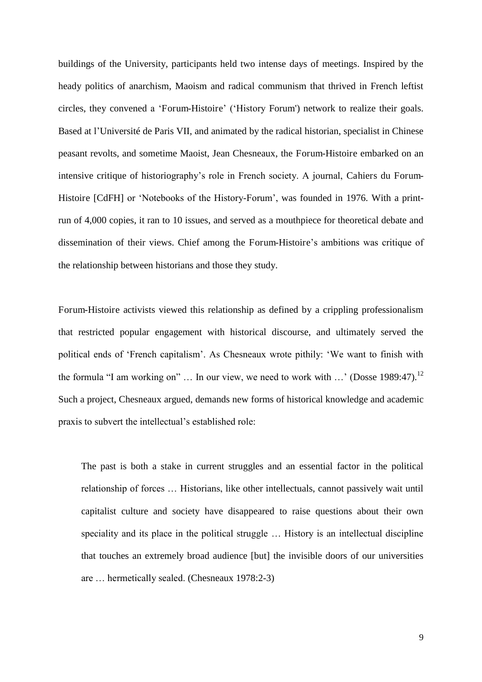buildings of the University, participants held two intense days of meetings. Inspired by the heady politics of anarchism, Maoism and radical communism that thrived in French leftist circles, they convened a 'Forum-Histoire' ('History Forum') network to realize their goals. Based at l'Université de Paris VII, and animated by the radical historian, specialist in Chinese peasant revolts, and sometime Maoist, Jean Chesneaux, the Forum-Histoire embarked on an intensive critique of historiography's role in French society. A journal, Cahiers du Forum-Histoire [CdFH] or 'Notebooks of the History-Forum', was founded in 1976. With a printrun of 4,000 copies, it ran to 10 issues, and served as a mouthpiece for theoretical debate and dissemination of their views. Chief among the Forum-Histoire's ambitions was critique of the relationship between historians and those they study.

Forum-Histoire activists viewed this relationship as defined by a crippling professionalism that restricted popular engagement with historical discourse, and ultimately served the political ends of 'French capitalism'. As Chesneaux wrote pithily: 'We want to finish with the formula "I am working on" ... In our view, we need to work with  $\ldots$  (Dosse 1989:47).<sup>12</sup> Such a project, Chesneaux argued, demands new forms of historical knowledge and academic praxis to subvert the intellectual's established role:

The past is both a stake in current struggles and an essential factor in the political relationship of forces … Historians, like other intellectuals, cannot passively wait until capitalist culture and society have disappeared to raise questions about their own speciality and its place in the political struggle … History is an intellectual discipline that touches an extremely broad audience [but] the invisible doors of our universities are … hermetically sealed. (Chesneaux 1978:2-3)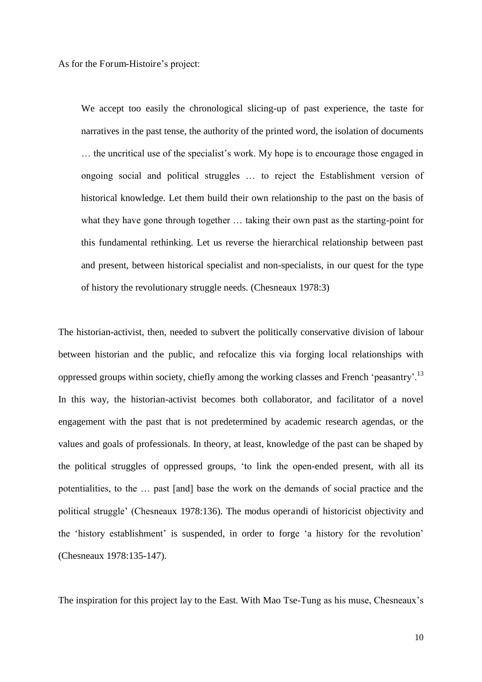As for the Forum-Histoire's project:

We accept too easily the chronological slicing-up of past experience, the taste for narratives in the past tense, the authority of the printed word, the isolation of documents … the uncritical use of the specialist's work. My hope is to encourage those engaged in ongoing social and political struggles … to reject the Establishment version of historical knowledge. Let them build their own relationship to the past on the basis of what they have gone through together … taking their own past as the starting-point for this fundamental rethinking. Let us reverse the hierarchical relationship between past and present, between historical specialist and non-specialists, in our quest for the type of history the revolutionary struggle needs. (Chesneaux 1978:3)

The historian-activist, then, needed to subvert the politically conservative division of labour between historian and the public, and refocalize this via forging local relationships with oppressed groups within society, chiefly among the working classes and French 'peasantry'.<sup>13</sup> In this way, the historian-activist becomes both collaborator, and facilitator of a novel engagement with the past that is not predetermined by academic research agendas, or the values and goals of professionals. In theory, at least, knowledge of the past can be shaped by the political struggles of oppressed groups, 'to link the open-ended present, with all its potentialities, to the … past [and] base the work on the demands of social practice and the political struggle' (Chesneaux 1978:136). The modus operandi of historicist objectivity and the 'history establishment' is suspended, in order to forge 'a history for the revolution' (Chesneaux 1978:135-147).

The inspiration for this project lay to the East. With Mao Tse-Tung as his muse, Chesneaux's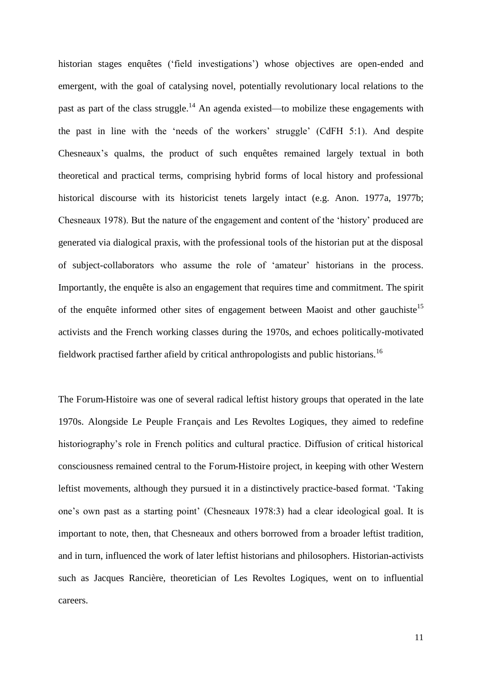historian stages enquêtes ('field investigations') whose objectives are open-ended and emergent, with the goal of catalysing novel, potentially revolutionary local relations to the past as part of the class struggle.<sup>14</sup> An agenda existed—to mobilize these engagements with the past in line with the 'needs of the workers' struggle' (CdFH 5:1). And despite Chesneaux's qualms, the product of such enquêtes remained largely textual in both theoretical and practical terms, comprising hybrid forms of local history and professional historical discourse with its historicist tenets largely intact (e.g. Anon. 1977a, 1977b; Chesneaux 1978). But the nature of the engagement and content of the 'history' produced are generated via dialogical praxis, with the professional tools of the historian put at the disposal of subject-collaborators who assume the role of 'amateur' historians in the process. Importantly, the enquête is also an engagement that requires time and commitment. The spirit of the enquête informed other sites of engagement between Maoist and other gauchiste<sup>15</sup> activists and the French working classes during the 1970s, and echoes politically-motivated fieldwork practised farther afield by critical anthropologists and public historians.<sup>16</sup>

The Forum-Histoire was one of several radical leftist history groups that operated in the late 1970s. Alongside Le Peuple Français and Les Revoltes Logiques, they aimed to redefine historiography's role in French politics and cultural practice. Diffusion of critical historical consciousness remained central to the Forum-Histoire project, in keeping with other Western leftist movements, although they pursued it in a distinctively practice-based format. 'Taking one's own past as a starting point' (Chesneaux 1978:3) had a clear ideological goal. It is important to note, then, that Chesneaux and others borrowed from a broader leftist tradition, and in turn, influenced the work of later leftist historians and philosophers. Historian-activists such as Jacques Rancière, theoretician of Les Revoltes Logiques, went on to influential careers.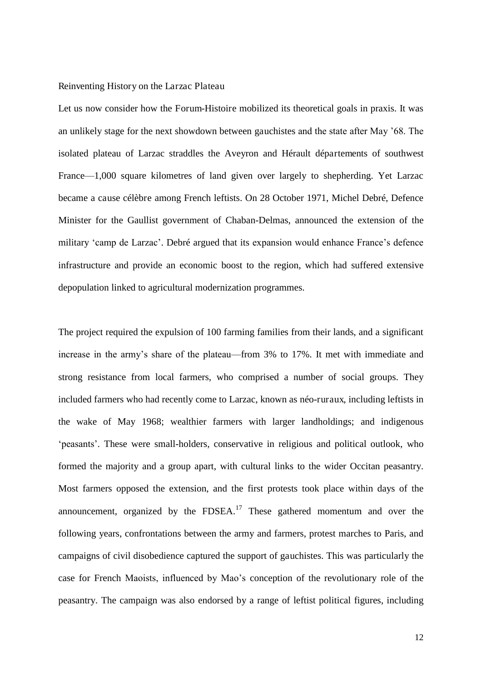#### Reinventing History on the Larzac Plateau

Let us now consider how the Forum-Histoire mobilized its theoretical goals in praxis. It was an unlikely stage for the next showdown between gauchistes and the state after May '68. The isolated plateau of Larzac straddles the Aveyron and Hérault départements of southwest France—1,000 square kilometres of land given over largely to shepherding. Yet Larzac became a cause célèbre among French leftists. On 28 October 1971, Michel Debré, Defence Minister for the Gaullist government of Chaban-Delmas, announced the extension of the military 'camp de Larzac'. Debré argued that its expansion would enhance France's defence infrastructure and provide an economic boost to the region, which had suffered extensive depopulation linked to agricultural modernization programmes.

The project required the expulsion of 100 farming families from their lands, and a significant increase in the army's share of the plateau—from 3% to 17%. It met with immediate and strong resistance from local farmers, who comprised a number of social groups. They included farmers who had recently come to Larzac, known as néo-ruraux, including leftists in the wake of May 1968; wealthier farmers with larger landholdings; and indigenous 'peasants'. These were small-holders, conservative in religious and political outlook, who formed the majority and a group apart, with cultural links to the wider Occitan peasantry. Most farmers opposed the extension, and the first protests took place within days of the announcement, organized by the  $FDSEA$ <sup>17</sup> These gathered momentum and over the following years, confrontations between the army and farmers, protest marches to Paris, and campaigns of civil disobedience captured the support of gauchistes. This was particularly the case for French Maoists, influenced by Mao's conception of the revolutionary role of the peasantry. The campaign was also endorsed by a range of leftist political figures, including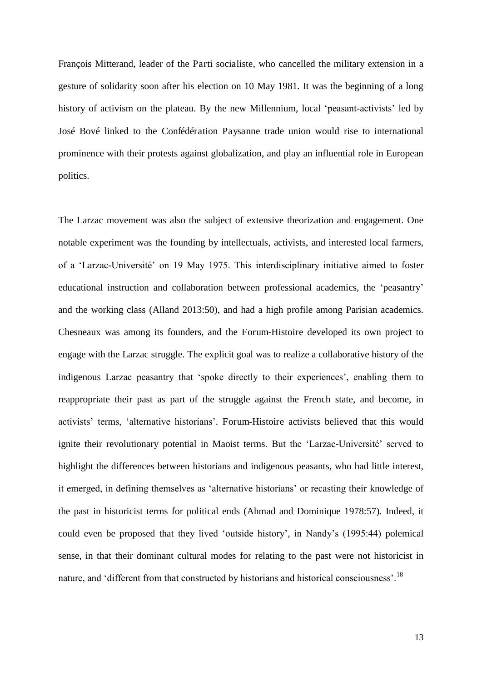François Mitterand, leader of the Parti socialiste, who cancelled the military extension in a gesture of solidarity soon after his election on 10 May 1981. It was the beginning of a long history of activism on the plateau. By the new Millennium, local 'peasant-activists' led by José Bové linked to the Confédération Paysanne trade union would rise to international prominence with their protests against globalization, and play an influential role in European politics.

The Larzac movement was also the subject of extensive theorization and engagement. One notable experiment was the founding by intellectuals, activists, and interested local farmers, of a 'Larzac-Université' on 19 May 1975. This interdisciplinary initiative aimed to foster educational instruction and collaboration between professional academics, the 'peasantry' and the working class (Alland 2013:50), and had a high profile among Parisian academics. Chesneaux was among its founders, and the Forum-Histoire developed its own project to engage with the Larzac struggle. The explicit goal was to realize a collaborative history of the indigenous Larzac peasantry that 'spoke directly to their experiences', enabling them to reappropriate their past as part of the struggle against the French state, and become, in activists' terms, 'alternative historians'. Forum-Histoire activists believed that this would ignite their revolutionary potential in Maoist terms. But the 'Larzac-Université' served to highlight the differences between historians and indigenous peasants, who had little interest, it emerged, in defining themselves as 'alternative historians' or recasting their knowledge of the past in historicist terms for political ends (Ahmad and Dominique 1978:57). Indeed, it could even be proposed that they lived 'outside history', in Nandy's (1995:44) polemical sense, in that their dominant cultural modes for relating to the past were not historicist in nature, and 'different from that constructed by historians and historical consciousness'.<sup>18</sup>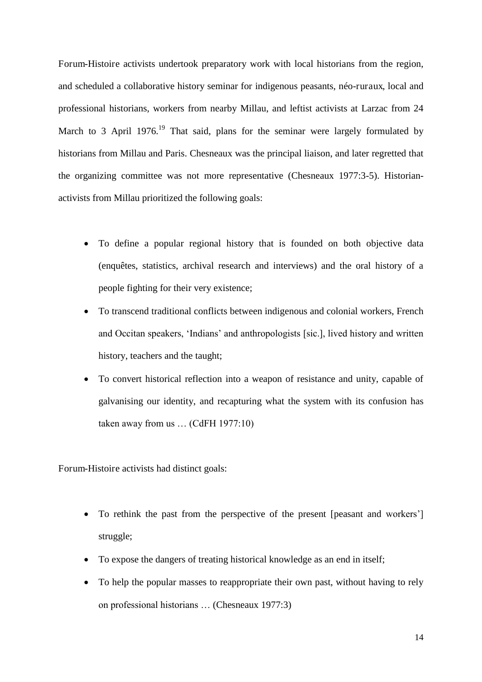Forum-Histoire activists undertook preparatory work with local historians from the region, and scheduled a collaborative history seminar for indigenous peasants, néo-ruraux, local and professional historians, workers from nearby Millau, and leftist activists at Larzac from 24 March to 3 April 1976.<sup>19</sup> That said, plans for the seminar were largely formulated by historians from Millau and Paris. Chesneaux was the principal liaison, and later regretted that the organizing committee was not more representative (Chesneaux 1977:3-5). Historianactivists from Millau prioritized the following goals:

- To define a popular regional history that is founded on both objective data (enquêtes, statistics, archival research and interviews) and the oral history of a people fighting for their very existence;
- To transcend traditional conflicts between indigenous and colonial workers, French and Occitan speakers, 'Indians' and anthropologists [sic.], lived history and written history, teachers and the taught;
- To convert historical reflection into a weapon of resistance and unity, capable of galvanising our identity, and recapturing what the system with its confusion has taken away from us … (CdFH 1977:10)

Forum-Histoire activists had distinct goals:

- To rethink the past from the perspective of the present [peasant and workers'] struggle;
- To expose the dangers of treating historical knowledge as an end in itself;
- To help the popular masses to reappropriate their own past, without having to rely on professional historians … (Chesneaux 1977:3)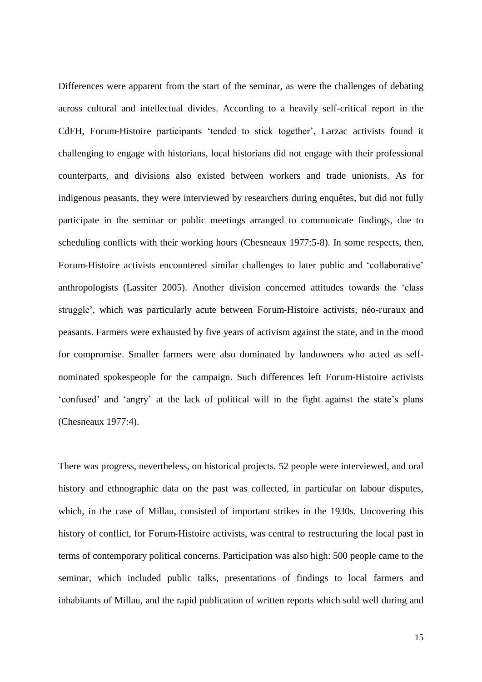Differences were apparent from the start of the seminar, as were the challenges of debating across cultural and intellectual divides. According to a heavily self-critical report in the CdFH, Forum-Histoire participants 'tended to stick together', Larzac activists found it challenging to engage with historians, local historians did not engage with their professional counterparts, and divisions also existed between workers and trade unionists. As for indigenous peasants, they were interviewed by researchers during enquêtes, but did not fully participate in the seminar or public meetings arranged to communicate findings, due to scheduling conflicts with their working hours (Chesneaux 1977:5-8). In some respects, then, Forum-Histoire activists encountered similar challenges to later public and 'collaborative' anthropologists (Lassiter 2005). Another division concerned attitudes towards the 'class struggle', which was particularly acute between Forum-Histoire activists, néo-ruraux and peasants. Farmers were exhausted by five years of activism against the state, and in the mood for compromise. Smaller farmers were also dominated by landowners who acted as selfnominated spokespeople for the campaign. Such differences left Forum-Histoire activists 'confused' and 'angry' at the lack of political will in the fight against the state's plans (Chesneaux 1977:4).

There was progress, nevertheless, on historical projects. 52 people were interviewed, and oral history and ethnographic data on the past was collected, in particular on labour disputes, which, in the case of Millau, consisted of important strikes in the 1930s. Uncovering this history of conflict, for Forum-Histoire activists, was central to restructuring the local past in terms of contemporary political concerns. Participation was also high: 500 people came to the seminar, which included public talks, presentations of findings to local farmers and inhabitants of Millau, and the rapid publication of written reports which sold well during and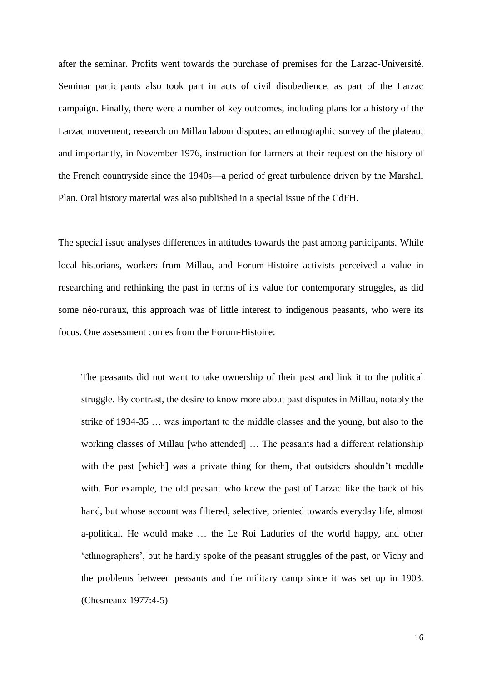after the seminar. Profits went towards the purchase of premises for the Larzac-Université. Seminar participants also took part in acts of civil disobedience, as part of the Larzac campaign. Finally, there were a number of key outcomes, including plans for a history of the Larzac movement; research on Millau labour disputes; an ethnographic survey of the plateau; and importantly, in November 1976, instruction for farmers at their request on the history of the French countryside since the 1940s—a period of great turbulence driven by the Marshall Plan. Oral history material was also published in a special issue of the CdFH.

The special issue analyses differences in attitudes towards the past among participants. While local historians, workers from Millau, and Forum-Histoire activists perceived a value in researching and rethinking the past in terms of its value for contemporary struggles, as did some néo-ruraux, this approach was of little interest to indigenous peasants, who were its focus. One assessment comes from the Forum-Histoire:

The peasants did not want to take ownership of their past and link it to the political struggle. By contrast, the desire to know more about past disputes in Millau, notably the strike of 1934-35 … was important to the middle classes and the young, but also to the working classes of Millau [who attended] … The peasants had a different relationship with the past [which] was a private thing for them, that outsiders shouldn't meddle with. For example, the old peasant who knew the past of Larzac like the back of his hand, but whose account was filtered, selective, oriented towards everyday life, almost a-political. He would make … the Le Roi Laduries of the world happy, and other 'ethnographers', but he hardly spoke of the peasant struggles of the past, or Vichy and the problems between peasants and the military camp since it was set up in 1903. (Chesneaux 1977:4-5)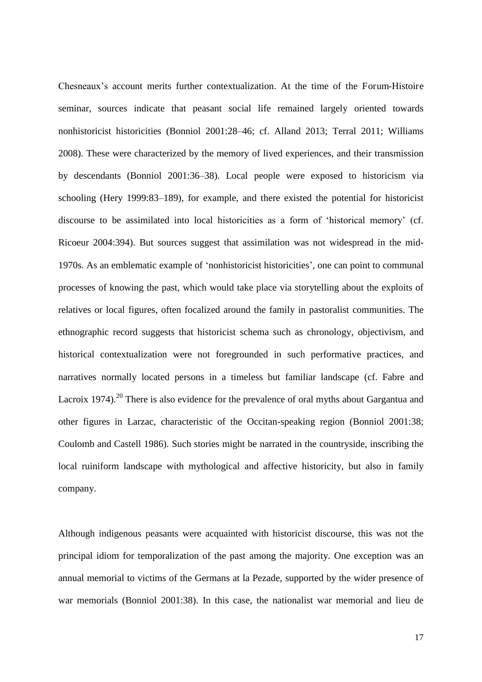Chesneaux's account merits further contextualization. At the time of the Forum-Histoire seminar, sources indicate that peasant social life remained largely oriented towards nonhistoricist historicities (Bonniol 2001:28–46; cf. Alland 2013; Terral 2011; Williams 2008). These were characterized by the memory of lived experiences, and their transmission by descendants (Bonniol 2001:36–38). Local people were exposed to historicism via schooling (Hery 1999:83–189), for example, and there existed the potential for historicist discourse to be assimilated into local historicities as a form of 'historical memory' (cf. Ricoeur 2004:394). But sources suggest that assimilation was not widespread in the mid-1970s. As an emblematic example of 'nonhistoricist historicities', one can point to communal processes of knowing the past, which would take place via storytelling about the exploits of relatives or local figures, often focalized around the family in pastoralist communities. The ethnographic record suggests that historicist schema such as chronology, objectivism, and historical contextualization were not foregrounded in such performative practices, and narratives normally located persons in a timeless but familiar landscape (cf. Fabre and Lacroix 1974).<sup>20</sup> There is also evidence for the prevalence of oral myths about Gargantua and other figures in Larzac, characteristic of the Occitan-speaking region (Bonniol 2001:38; Coulomb and Castell 1986). Such stories might be narrated in the countryside, inscribing the local ruiniform landscape with mythological and affective historicity, but also in family company.

Although indigenous peasants were acquainted with historicist discourse, this was not the principal idiom for temporalization of the past among the majority. One exception was an annual memorial to victims of the Germans at la Pezade, supported by the wider presence of war memorials (Bonniol 2001:38). In this case, the nationalist war memorial and lieu de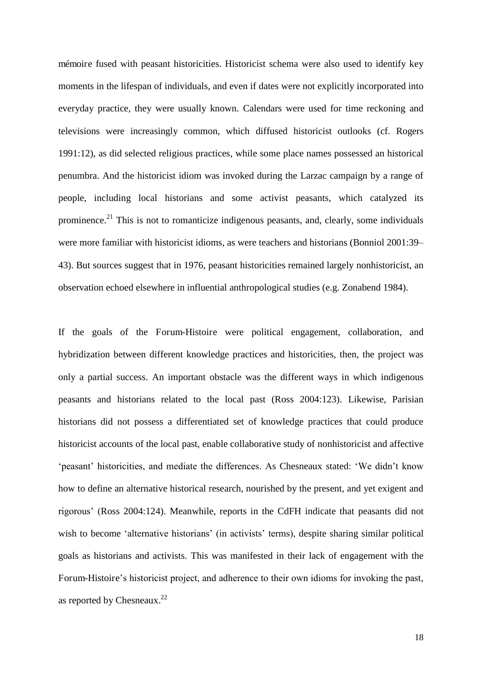mémoire fused with peasant historicities. Historicist schema were also used to identify key moments in the lifespan of individuals, and even if dates were not explicitly incorporated into everyday practice, they were usually known. Calendars were used for time reckoning and televisions were increasingly common, which diffused historicist outlooks (cf. Rogers 1991:12), as did selected religious practices, while some place names possessed an historical penumbra. And the historicist idiom was invoked during the Larzac campaign by a range of people, including local historians and some activist peasants, which catalyzed its prominence.<sup>21</sup> This is not to romanticize indigenous peasants, and, clearly, some individuals were more familiar with historicist idioms, as were teachers and historians (Bonniol 2001:39– 43). But sources suggest that in 1976, peasant historicities remained largely nonhistoricist, an observation echoed elsewhere in influential anthropological studies (e.g. Zonabend 1984).

If the goals of the Forum-Histoire were political engagement, collaboration, and hybridization between different knowledge practices and historicities, then, the project was only a partial success. An important obstacle was the different ways in which indigenous peasants and historians related to the local past (Ross 2004:123). Likewise, Parisian historians did not possess a differentiated set of knowledge practices that could produce historicist accounts of the local past, enable collaborative study of nonhistoricist and affective 'peasant' historicities, and mediate the differences. As Chesneaux stated: 'We didn't know how to define an alternative historical research, nourished by the present, and yet exigent and rigorous' (Ross 2004:124). Meanwhile, reports in the CdFH indicate that peasants did not wish to become 'alternative historians' (in activists' terms), despite sharing similar political goals as historians and activists. This was manifested in their lack of engagement with the Forum-Histoire's historicist project, and adherence to their own idioms for invoking the past, as reported by Chesneaux.<sup>22</sup>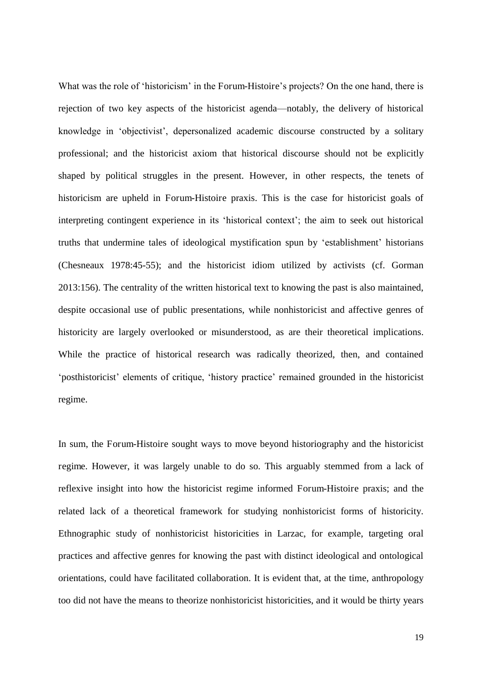What was the role of 'historicism' in the Forum-Histoire's projects? On the one hand, there is rejection of two key aspects of the historicist agenda—notably, the delivery of historical knowledge in 'objectivist', depersonalized academic discourse constructed by a solitary professional; and the historicist axiom that historical discourse should not be explicitly shaped by political struggles in the present. However, in other respects, the tenets of historicism are upheld in Forum-Histoire praxis. This is the case for historicist goals of interpreting contingent experience in its 'historical context'; the aim to seek out historical truths that undermine tales of ideological mystification spun by 'establishment' historians (Chesneaux 1978:45-55); and the historicist idiom utilized by activists (cf. Gorman 2013:156). The centrality of the written historical text to knowing the past is also maintained, despite occasional use of public presentations, while nonhistoricist and affective genres of historicity are largely overlooked or misunderstood, as are their theoretical implications. While the practice of historical research was radically theorized, then, and contained 'posthistoricist' elements of critique, 'history practice' remained grounded in the historicist regime.

In sum, the Forum-Histoire sought ways to move beyond historiography and the historicist regime. However, it was largely unable to do so. This arguably stemmed from a lack of reflexive insight into how the historicist regime informed Forum-Histoire praxis; and the related lack of a theoretical framework for studying nonhistoricist forms of historicity. Ethnographic study of nonhistoricist historicities in Larzac, for example, targeting oral practices and affective genres for knowing the past with distinct ideological and ontological orientations, could have facilitated collaboration. It is evident that, at the time, anthropology too did not have the means to theorize nonhistoricist historicities, and it would be thirty years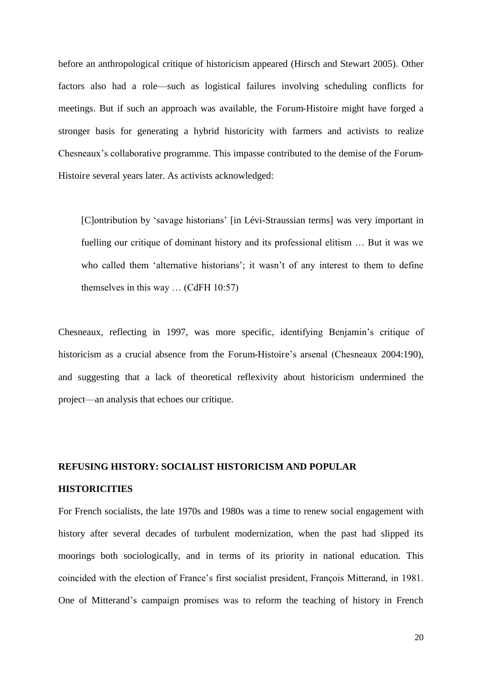before an anthropological critique of historicism appeared (Hirsch and Stewart 2005). Other factors also had a role—such as logistical failures involving scheduling conflicts for meetings. But if such an approach was available, the Forum-Histoire might have forged a stronger basis for generating a hybrid historicity with farmers and activists to realize Chesneaux's collaborative programme. This impasse contributed to the demise of the Forum-Histoire several years later. As activists acknowledged:

[C]ontribution by 'savage historians' [in Lévi-Straussian terms] was very important in fuelling our critique of dominant history and its professional elitism … But it was we who called them 'alternative historians'; it wasn't of any interest to them to define themselves in this way … (CdFH 10:57)

Chesneaux, reflecting in 1997, was more specific, identifying Benjamin's critique of historicism as a crucial absence from the Forum-Histoire's arsenal (Chesneaux 2004:190), and suggesting that a lack of theoretical reflexivity about historicism undermined the project—an analysis that echoes our critique.

## **REFUSING HISTORY: SOCIALIST HISTORICISM AND POPULAR HISTORICITIES**

For French socialists, the late 1970s and 1980s was a time to renew social engagement with history after several decades of turbulent modernization, when the past had slipped its moorings both sociologically, and in terms of its priority in national education. This coincided with the election of France's first socialist president, François Mitterand, in 1981. One of Mitterand's campaign promises was to reform the teaching of history in French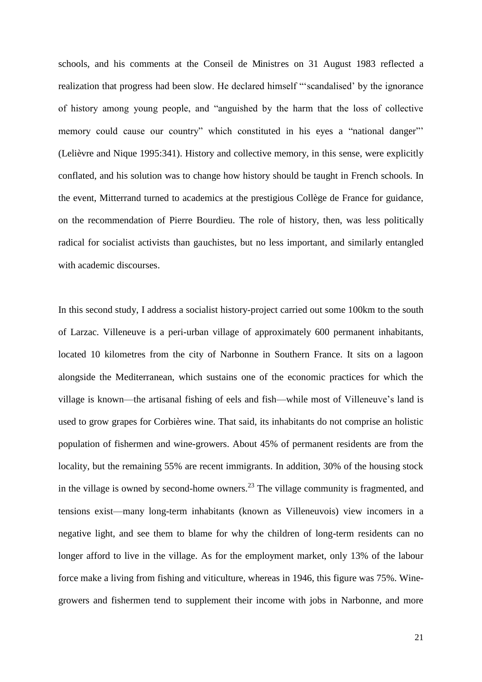schools, and his comments at the Conseil de Ministres on 31 August 1983 reflected a realization that progress had been slow. He declared himself "'scandalised' by the ignorance of history among young people, and "anguished by the harm that the loss of collective memory could cause our country" which constituted in his eyes a "national danger" (Lelièvre and Nique 1995:341). History and collective memory, in this sense, were explicitly conflated, and his solution was to change how history should be taught in French schools. In the event, Mitterrand turned to academics at the prestigious Collège de France for guidance, on the recommendation of Pierre Bourdieu. The role of history, then, was less politically radical for socialist activists than gauchistes, but no less important, and similarly entangled with academic discourses.

In this second study, I address a socialist history-project carried out some 100km to the south of Larzac. Villeneuve is a peri-urban village of approximately 600 permanent inhabitants, located 10 kilometres from the city of Narbonne in Southern France. It sits on a lagoon alongside the Mediterranean, which sustains one of the economic practices for which the village is known—the artisanal fishing of eels and fish—while most of Villeneuve's land is used to grow grapes for Corbières wine. That said, its inhabitants do not comprise an holistic population of fishermen and wine-growers. About 45% of permanent residents are from the locality, but the remaining 55% are recent immigrants. In addition, 30% of the housing stock in the village is owned by second-home owners.<sup>23</sup> The village community is fragmented, and tensions exist—many long-term inhabitants (known as Villeneuvois) view incomers in a negative light, and see them to blame for why the children of long-term residents can no longer afford to live in the village. As for the employment market, only 13% of the labour force make a living from fishing and viticulture, whereas in 1946, this figure was 75%. Winegrowers and fishermen tend to supplement their income with jobs in Narbonne, and more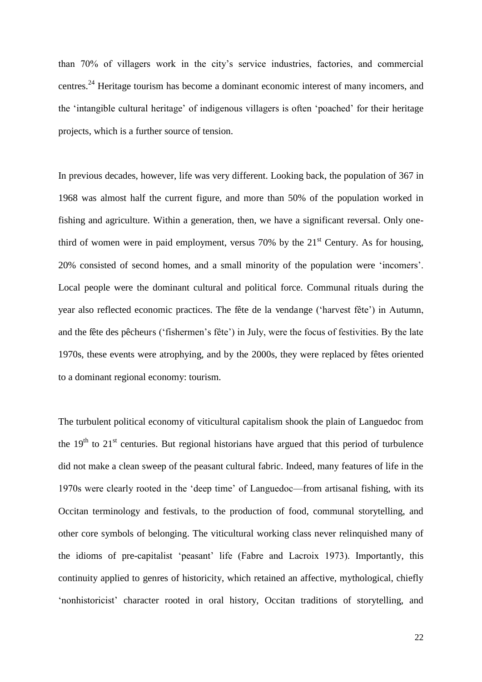than 70% of villagers work in the city's service industries, factories, and commercial centres.<sup>24</sup> Heritage tourism has become a dominant economic interest of many incomers, and the 'intangible cultural heritage' of indigenous villagers is often 'poached' for their heritage projects, which is a further source of tension.

In previous decades, however, life was very different. Looking back, the population of 367 in 1968 was almost half the current figure, and more than 50% of the population worked in fishing and agriculture. Within a generation, then, we have a significant reversal. Only onethird of women were in paid employment, versus  $70\%$  by the  $21<sup>st</sup>$  Century. As for housing, 20% consisted of second homes, and a small minority of the population were 'incomers'. Local people were the dominant cultural and political force. Communal rituals during the year also reflected economic practices. The fête de la vendange ('harvest fête') in Autumn, and the fête des pêcheurs ('fishermen's fête') in July, were the focus of festivities. By the late 1970s, these events were atrophying, and by the 2000s, they were replaced by fêtes oriented to a dominant regional economy: tourism.

The turbulent political economy of viticultural capitalism shook the plain of Languedoc from the  $19<sup>th</sup>$  to  $21<sup>st</sup>$  centuries. But regional historians have argued that this period of turbulence did not make a clean sweep of the peasant cultural fabric. Indeed, many features of life in the 1970s were clearly rooted in the 'deep time' of Languedoc—from artisanal fishing, with its Occitan terminology and festivals, to the production of food, communal storytelling, and other core symbols of belonging. The viticultural working class never relinquished many of the idioms of pre-capitalist 'peasant' life (Fabre and Lacroix 1973). Importantly, this continuity applied to genres of historicity, which retained an affective, mythological, chiefly 'nonhistoricist' character rooted in oral history, Occitan traditions of storytelling, and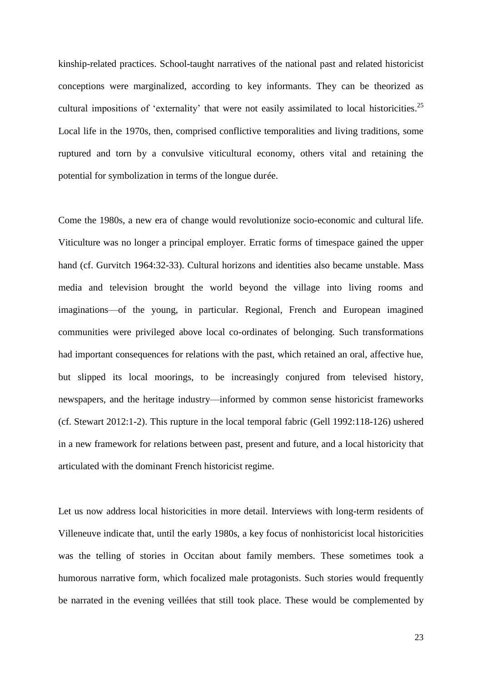kinship-related practices. School-taught narratives of the national past and related historicist conceptions were marginalized, according to key informants. They can be theorized as cultural impositions of 'externality' that were not easily assimilated to local historicities.<sup>25</sup> Local life in the 1970s, then, comprised conflictive temporalities and living traditions, some ruptured and torn by a convulsive viticultural economy, others vital and retaining the potential for symbolization in terms of the longue durée.

Come the 1980s, a new era of change would revolutionize socio-economic and cultural life. Viticulture was no longer a principal employer. Erratic forms of timespace gained the upper hand (cf. Gurvitch 1964:32-33). Cultural horizons and identities also became unstable. Mass media and television brought the world beyond the village into living rooms and imaginations—of the young, in particular. Regional, French and European imagined communities were privileged above local co-ordinates of belonging. Such transformations had important consequences for relations with the past, which retained an oral, affective hue, but slipped its local moorings, to be increasingly conjured from televised history, newspapers, and the heritage industry—informed by common sense historicist frameworks (cf. Stewart 2012:1-2). This rupture in the local temporal fabric (Gell 1992:118-126) ushered in a new framework for relations between past, present and future, and a local historicity that articulated with the dominant French historicist regime.

Let us now address local historicities in more detail. Interviews with long-term residents of Villeneuve indicate that, until the early 1980s, a key focus of nonhistoricist local historicities was the telling of stories in Occitan about family members. These sometimes took a humorous narrative form, which focalized male protagonists. Such stories would frequently be narrated in the evening veillées that still took place. These would be complemented by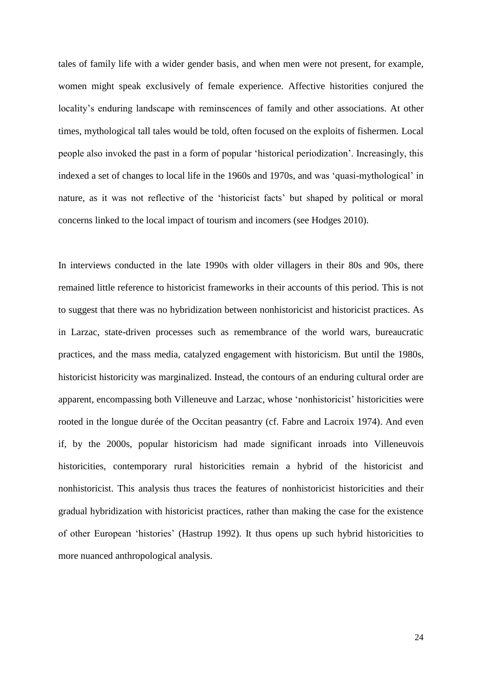tales of family life with a wider gender basis, and when men were not present, for example, women might speak exclusively of female experience. Affective historities conjured the locality's enduring landscape with reminscences of family and other associations. At other times, mythological tall tales would be told, often focused on the exploits of fishermen. Local people also invoked the past in a form of popular 'historical periodization'. Increasingly, this indexed a set of changes to local life in the 1960s and 1970s, and was 'quasi-mythological' in nature, as it was not reflective of the 'historicist facts' but shaped by political or moral concerns linked to the local impact of tourism and incomers (see Hodges 2010).

In interviews conducted in the late 1990s with older villagers in their 80s and 90s, there remained little reference to historicist frameworks in their accounts of this period. This is not to suggest that there was no hybridization between nonhistoricist and historicist practices. As in Larzac, state-driven processes such as remembrance of the world wars, bureaucratic practices, and the mass media, catalyzed engagement with historicism. But until the 1980s, historicist historicity was marginalized. Instead, the contours of an enduring cultural order are apparent, encompassing both Villeneuve and Larzac, whose 'nonhistoricist' historicities were rooted in the longue durée of the Occitan peasantry (cf. Fabre and Lacroix 1974). And even if, by the 2000s, popular historicism had made significant inroads into Villeneuvois historicities, contemporary rural historicities remain a hybrid of the historicist and nonhistoricist. This analysis thus traces the features of nonhistoricist historicities and their gradual hybridization with historicist practices, rather than making the case for the existence of other European 'histories' (Hastrup 1992). It thus opens up such hybrid historicities to more nuanced anthropological analysis.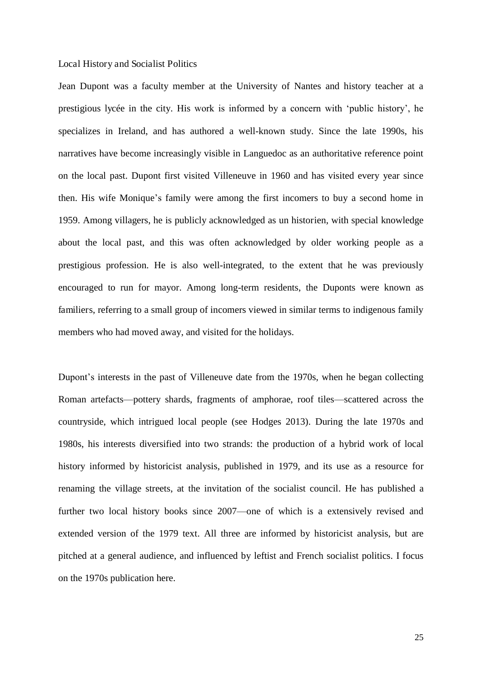#### Local History and Socialist Politics

Jean Dupont was a faculty member at the University of Nantes and history teacher at a prestigious lycée in the city. His work is informed by a concern with 'public history', he specializes in Ireland, and has authored a well-known study. Since the late 1990s, his narratives have become increasingly visible in Languedoc as an authoritative reference point on the local past. Dupont first visited Villeneuve in 1960 and has visited every year since then. His wife Monique's family were among the first incomers to buy a second home in 1959. Among villagers, he is publicly acknowledged as un historien, with special knowledge about the local past, and this was often acknowledged by older working people as a prestigious profession. He is also well-integrated, to the extent that he was previously encouraged to run for mayor. Among long-term residents, the Duponts were known as familiers, referring to a small group of incomers viewed in similar terms to indigenous family members who had moved away, and visited for the holidays.

Dupont's interests in the past of Villeneuve date from the 1970s, when he began collecting Roman artefacts—pottery shards, fragments of amphorae, roof tiles—scattered across the countryside, which intrigued local people (see Hodges 2013). During the late 1970s and 1980s, his interests diversified into two strands: the production of a hybrid work of local history informed by historicist analysis, published in 1979, and its use as a resource for renaming the village streets, at the invitation of the socialist council. He has published a further two local history books since 2007—one of which is a extensively revised and extended version of the 1979 text. All three are informed by historicist analysis, but are pitched at a general audience, and influenced by leftist and French socialist politics. I focus on the 1970s publication here.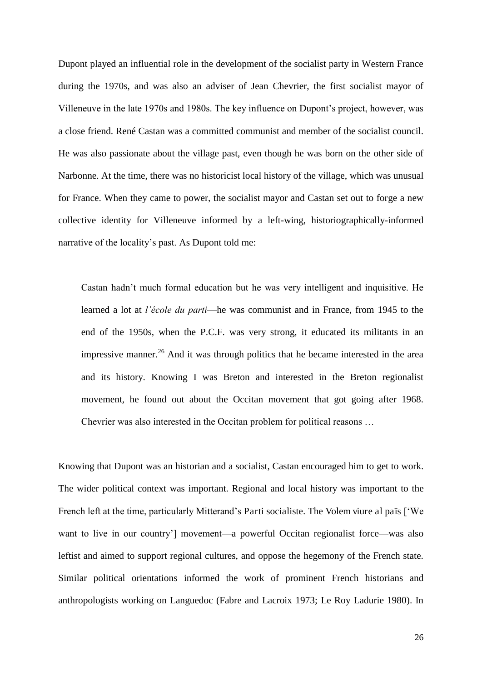Dupont played an influential role in the development of the socialist party in Western France during the 1970s, and was also an adviser of Jean Chevrier, the first socialist mayor of Villeneuve in the late 1970s and 1980s. The key influence on Dupont's project, however, was a close friend. René Castan was a committed communist and member of the socialist council. He was also passionate about the village past, even though he was born on the other side of Narbonne. At the time, there was no historicist local history of the village, which was unusual for France. When they came to power, the socialist mayor and Castan set out to forge a new collective identity for Villeneuve informed by a left-wing, historiographically-informed narrative of the locality's past. As Dupont told me:

Castan hadn't much formal education but he was very intelligent and inquisitive. He learned a lot at *l'école du parti*—he was communist and in France, from 1945 to the end of the 1950s, when the P.C.F. was very strong, it educated its militants in an impressive manner.<sup>26</sup> And it was through politics that he became interested in the area and its history. Knowing I was Breton and interested in the Breton regionalist movement, he found out about the Occitan movement that got going after 1968. Chevrier was also interested in the Occitan problem for political reasons …

Knowing that Dupont was an historian and a socialist, Castan encouraged him to get to work. The wider political context was important. Regional and local history was important to the French left at the time, particularly Mitterand's Parti socialiste. The Volem viure al païs ['We want to live in our country'] movement—a powerful Occitan regionalist force—was also leftist and aimed to support regional cultures, and oppose the hegemony of the French state. Similar political orientations informed the work of prominent French historians and anthropologists working on Languedoc (Fabre and Lacroix 1973; Le Roy Ladurie 1980). In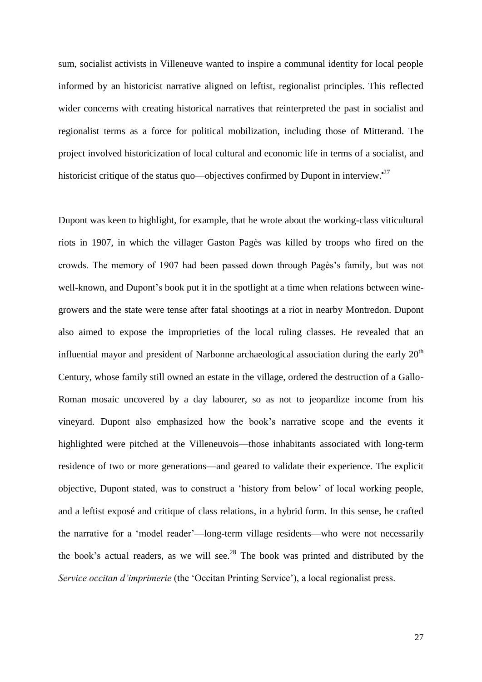sum, socialist activists in Villeneuve wanted to inspire a communal identity for local people informed by an historicist narrative aligned on leftist, regionalist principles. This reflected wider concerns with creating historical narratives that reinterpreted the past in socialist and regionalist terms as a force for political mobilization, including those of Mitterand. The project involved historicization of local cultural and economic life in terms of a socialist, and historicist critique of the status quo—objectives confirmed by Dupont in interview. $27$ 

Dupont was keen to highlight, for example, that he wrote about the working-class viticultural riots in 1907, in which the villager Gaston Pagès was killed by troops who fired on the crowds. The memory of 1907 had been passed down through Pagès's family, but was not well-known, and Dupont's book put it in the spotlight at a time when relations between winegrowers and the state were tense after fatal shootings at a riot in nearby Montredon. Dupont also aimed to expose the improprieties of the local ruling classes. He revealed that an influential mayor and president of Narbonne archaeological association during the early  $20<sup>th</sup>$ Century, whose family still owned an estate in the village, ordered the destruction of a Gallo-Roman mosaic uncovered by a day labourer, so as not to jeopardize income from his vineyard. Dupont also emphasized how the book's narrative scope and the events it highlighted were pitched at the Villeneuvois—those inhabitants associated with long-term residence of two or more generations—and geared to validate their experience. The explicit objective, Dupont stated, was to construct a 'history from below' of local working people, and a leftist exposé and critique of class relations, in a hybrid form. In this sense, he crafted the narrative for a 'model reader'—long-term village residents—who were not necessarily the book's actual readers, as we will see.<sup>28</sup> The book was printed and distributed by the *Service occitan d'imprimerie* (the 'Occitan Printing Service'), a local regionalist press.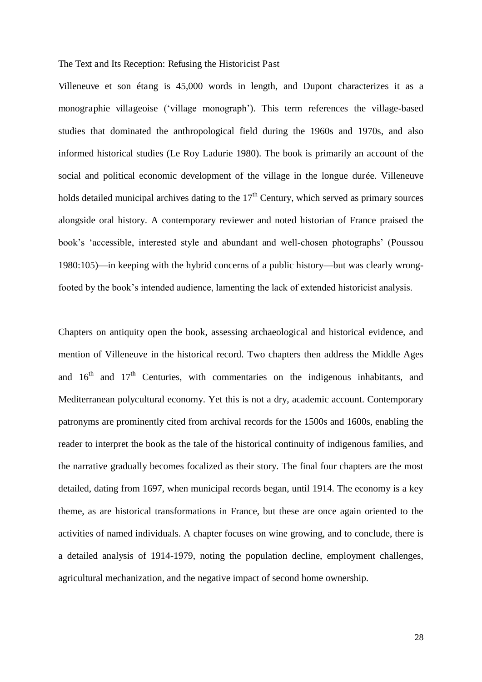#### The Text and Its Reception: Refusing the Historicist Past

Villeneuve et son étang is 45,000 words in length, and Dupont characterizes it as a monographie villageoise ('village monograph'). This term references the village-based studies that dominated the anthropological field during the 1960s and 1970s, and also informed historical studies (Le Roy Ladurie 1980). The book is primarily an account of the social and political economic development of the village in the longue durée. Villeneuve holds detailed municipal archives dating to the  $17<sup>th</sup>$  Century, which served as primary sources alongside oral history. A contemporary reviewer and noted historian of France praised the book's 'accessible, interested style and abundant and well-chosen photographs' (Poussou 1980:105)—in keeping with the hybrid concerns of a public history—but was clearly wrongfooted by the book's intended audience, lamenting the lack of extended historicist analysis.

Chapters on antiquity open the book, assessing archaeological and historical evidence, and mention of Villeneuve in the historical record. Two chapters then address the Middle Ages and  $16<sup>th</sup>$  and  $17<sup>th</sup>$  Centuries, with commentaries on the indigenous inhabitants, and Mediterranean polycultural economy. Yet this is not a dry, academic account. Contemporary patronyms are prominently cited from archival records for the 1500s and 1600s, enabling the reader to interpret the book as the tale of the historical continuity of indigenous families, and the narrative gradually becomes focalized as their story. The final four chapters are the most detailed, dating from 1697, when municipal records began, until 1914. The economy is a key theme, as are historical transformations in France, but these are once again oriented to the activities of named individuals. A chapter focuses on wine growing, and to conclude, there is a detailed analysis of 1914-1979, noting the population decline, employment challenges, agricultural mechanization, and the negative impact of second home ownership.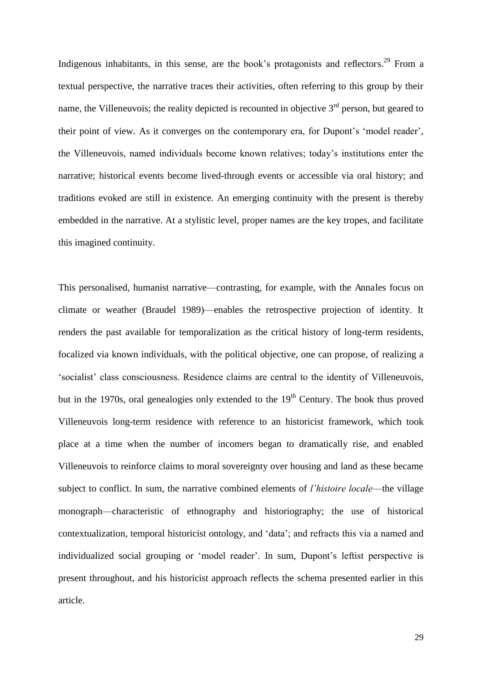Indigenous inhabitants, in this sense, are the book's protagonists and reflectors.<sup>29</sup> From a textual perspective, the narrative traces their activities, often referring to this group by their name, the Villeneuvois; the reality depicted is recounted in objective  $3<sup>rd</sup>$  person, but geared to their point of view. As it converges on the contemporary era, for Dupont's 'model reader', the Villeneuvois, named individuals become known relatives; today's institutions enter the narrative; historical events become lived-through events or accessible via oral history; and traditions evoked are still in existence. An emerging continuity with the present is thereby embedded in the narrative. At a stylistic level, proper names are the key tropes, and facilitate this imagined continuity.

This personalised, humanist narrative—contrasting, for example, with the Annales focus on climate or weather (Braudel 1989)—enables the retrospective projection of identity. It renders the past available for temporalization as the critical history of long-term residents, focalized via known individuals, with the political objective, one can propose, of realizing a 'socialist' class consciousness. Residence claims are central to the identity of Villeneuvois, but in the 1970s, oral genealogies only extended to the  $19<sup>th</sup>$  Century. The book thus proved Villeneuvois long-term residence with reference to an historicist framework, which took place at a time when the number of incomers began to dramatically rise, and enabled Villeneuvois to reinforce claims to moral sovereignty over housing and land as these became subject to conflict. In sum, the narrative combined elements of *l'histoire locale*—the village monograph—characteristic of ethnography and historiography; the use of historical contextualization, temporal historicist ontology, and 'data'; and refracts this via a named and individualized social grouping or 'model reader'. In sum, Dupont's leftist perspective is present throughout, and his historicist approach reflects the schema presented earlier in this article.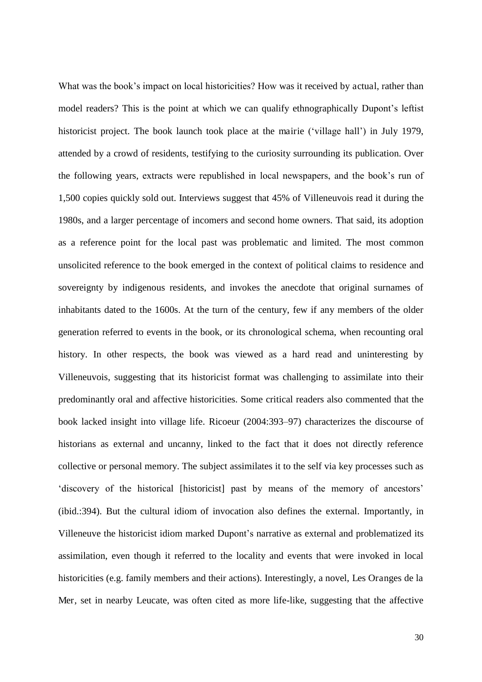What was the book's impact on local historicities? How was it received by actual, rather than model readers? This is the point at which we can qualify ethnographically Dupont's leftist historicist project. The book launch took place at the mairie ('village hall') in July 1979, attended by a crowd of residents, testifying to the curiosity surrounding its publication. Over the following years, extracts were republished in local newspapers, and the book's run of 1,500 copies quickly sold out. Interviews suggest that 45% of Villeneuvois read it during the 1980s, and a larger percentage of incomers and second home owners. That said, its adoption as a reference point for the local past was problematic and limited. The most common unsolicited reference to the book emerged in the context of political claims to residence and sovereignty by indigenous residents, and invokes the anecdote that original surnames of inhabitants dated to the 1600s. At the turn of the century, few if any members of the older generation referred to events in the book, or its chronological schema, when recounting oral history. In other respects, the book was viewed as a hard read and uninteresting by Villeneuvois, suggesting that its historicist format was challenging to assimilate into their predominantly oral and affective historicities. Some critical readers also commented that the book lacked insight into village life. Ricoeur (2004:393–97) characterizes the discourse of historians as external and uncanny, linked to the fact that it does not directly reference collective or personal memory. The subject assimilates it to the self via key processes such as 'discovery of the historical [historicist] past by means of the memory of ancestors' (ibid.:394). But the cultural idiom of invocation also defines the external. Importantly, in Villeneuve the historicist idiom marked Dupont's narrative as external and problematized its assimilation, even though it referred to the locality and events that were invoked in local historicities (e.g. family members and their actions). Interestingly, a novel, Les Oranges de la Mer, set in nearby Leucate, was often cited as more life-like, suggesting that the affective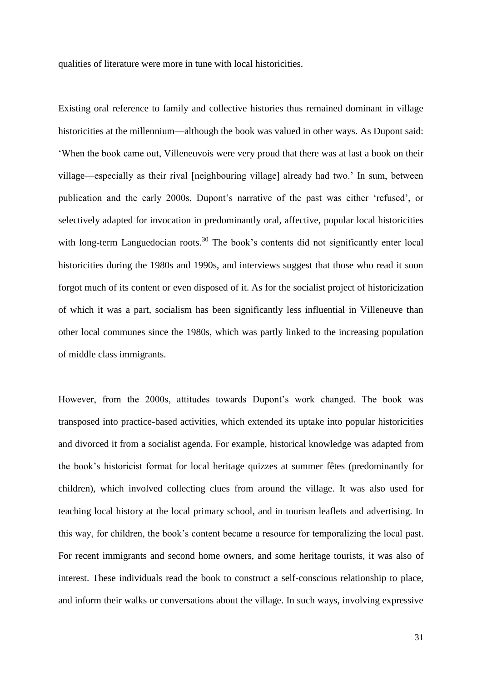qualities of literature were more in tune with local historicities.

Existing oral reference to family and collective histories thus remained dominant in village historicities at the millennium—although the book was valued in other ways. As Dupont said: 'When the book came out, Villeneuvois were very proud that there was at last a book on their village—especially as their rival [neighbouring village] already had two.' In sum, between publication and the early 2000s, Dupont's narrative of the past was either 'refused', or selectively adapted for invocation in predominantly oral, affective, popular local historicities with long-term Languedocian roots.<sup>30</sup> The book's contents did not significantly enter local historicities during the 1980s and 1990s, and interviews suggest that those who read it soon forgot much of its content or even disposed of it. As for the socialist project of historicization of which it was a part, socialism has been significantly less influential in Villeneuve than other local communes since the 1980s, which was partly linked to the increasing population of middle class immigrants.

However, from the 2000s, attitudes towards Dupont's work changed. The book was transposed into practice-based activities, which extended its uptake into popular historicities and divorced it from a socialist agenda. For example, historical knowledge was adapted from the book's historicist format for local heritage quizzes at summer fêtes (predominantly for children), which involved collecting clues from around the village. It was also used for teaching local history at the local primary school, and in tourism leaflets and advertising. In this way, for children, the book's content became a resource for temporalizing the local past. For recent immigrants and second home owners, and some heritage tourists, it was also of interest. These individuals read the book to construct a self-conscious relationship to place, and inform their walks or conversations about the village. In such ways, involving expressive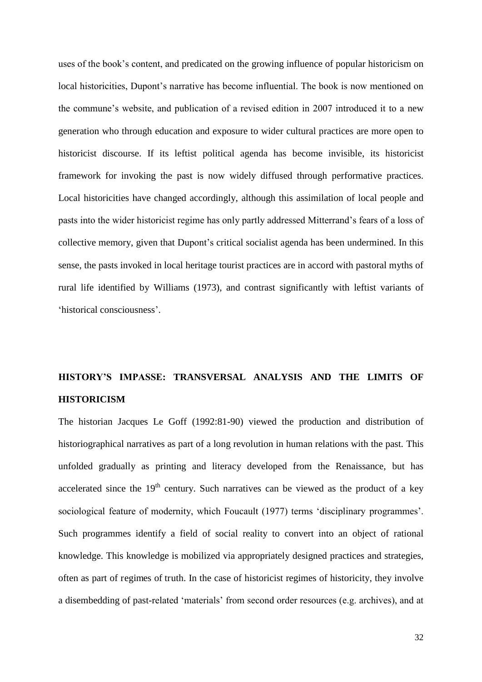uses of the book's content, and predicated on the growing influence of popular historicism on local historicities, Dupont's narrative has become influential. The book is now mentioned on the commune's website, and publication of a revised edition in 2007 introduced it to a new generation who through education and exposure to wider cultural practices are more open to historicist discourse. If its leftist political agenda has become invisible, its historicist framework for invoking the past is now widely diffused through performative practices. Local historicities have changed accordingly, although this assimilation of local people and pasts into the wider historicist regime has only partly addressed Mitterrand's fears of a loss of collective memory, given that Dupont's critical socialist agenda has been undermined. In this sense, the pasts invoked in local heritage tourist practices are in accord with pastoral myths of rural life identified by Williams (1973), and contrast significantly with leftist variants of 'historical consciousness'.

# **HISTORY'S IMPASSE: TRANSVERSAL ANALYSIS AND THE LIMITS OF HISTORICISM**

The historian Jacques Le Goff (1992:81-90) viewed the production and distribution of historiographical narratives as part of a long revolution in human relations with the past. This unfolded gradually as printing and literacy developed from the Renaissance, but has accelerated since the  $19<sup>th</sup>$  century. Such narratives can be viewed as the product of a key sociological feature of modernity, which Foucault (1977) terms 'disciplinary programmes'. Such programmes identify a field of social reality to convert into an object of rational knowledge. This knowledge is mobilized via appropriately designed practices and strategies, often as part of regimes of truth. In the case of historicist regimes of historicity, they involve a disembedding of past-related 'materials' from second order resources (e.g. archives), and at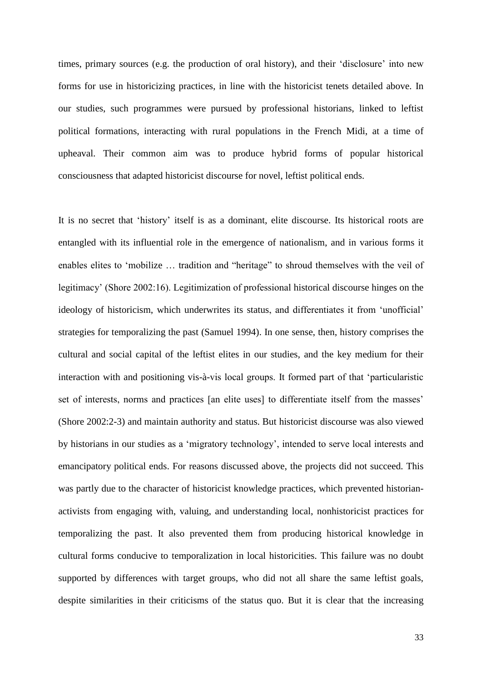times, primary sources (e.g. the production of oral history), and their 'disclosure' into new forms for use in historicizing practices, in line with the historicist tenets detailed above. In our studies, such programmes were pursued by professional historians, linked to leftist political formations, interacting with rural populations in the French Midi, at a time of upheaval. Their common aim was to produce hybrid forms of popular historical consciousness that adapted historicist discourse for novel, leftist political ends.

It is no secret that 'history' itself is as a dominant, elite discourse. Its historical roots are entangled with its influential role in the emergence of nationalism, and in various forms it enables elites to 'mobilize … tradition and "heritage" to shroud themselves with the veil of legitimacy' (Shore 2002:16). Legitimization of professional historical discourse hinges on the ideology of historicism, which underwrites its status, and differentiates it from 'unofficial' strategies for temporalizing the past (Samuel 1994). In one sense, then, history comprises the cultural and social capital of the leftist elites in our studies, and the key medium for their interaction with and positioning vis-à-vis local groups. It formed part of that 'particularistic set of interests, norms and practices [an elite uses] to differentiate itself from the masses' (Shore 2002:2-3) and maintain authority and status. But historicist discourse was also viewed by historians in our studies as a 'migratory technology', intended to serve local interests and emancipatory political ends. For reasons discussed above, the projects did not succeed. This was partly due to the character of historicist knowledge practices, which prevented historianactivists from engaging with, valuing, and understanding local, nonhistoricist practices for temporalizing the past. It also prevented them from producing historical knowledge in cultural forms conducive to temporalization in local historicities. This failure was no doubt supported by differences with target groups, who did not all share the same leftist goals, despite similarities in their criticisms of the status quo. But it is clear that the increasing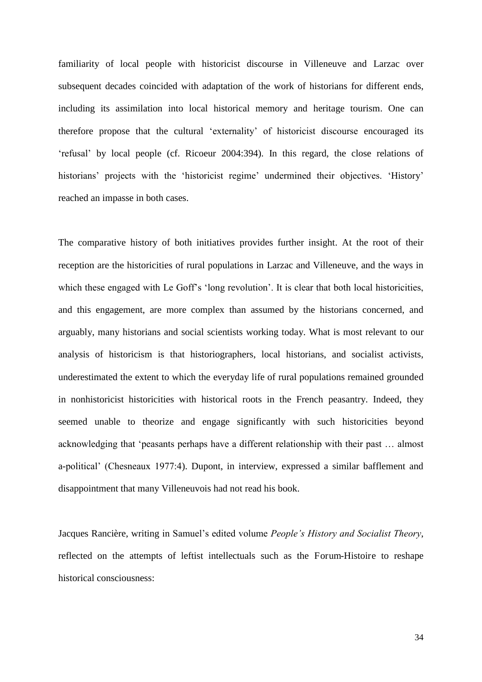familiarity of local people with historicist discourse in Villeneuve and Larzac over subsequent decades coincided with adaptation of the work of historians for different ends, including its assimilation into local historical memory and heritage tourism. One can therefore propose that the cultural 'externality' of historicist discourse encouraged its 'refusal' by local people (cf. Ricoeur 2004:394). In this regard, the close relations of historians' projects with the 'historicist regime' undermined their objectives. 'History' reached an impasse in both cases.

The comparative history of both initiatives provides further insight. At the root of their reception are the historicities of rural populations in Larzac and Villeneuve, and the ways in which these engaged with Le Goff's 'long revolution'. It is clear that both local historicities, and this engagement, are more complex than assumed by the historians concerned, and arguably, many historians and social scientists working today. What is most relevant to our analysis of historicism is that historiographers, local historians, and socialist activists, underestimated the extent to which the everyday life of rural populations remained grounded in nonhistoricist historicities with historical roots in the French peasantry. Indeed, they seemed unable to theorize and engage significantly with such historicities beyond acknowledging that 'peasants perhaps have a different relationship with their past … almost a-political' (Chesneaux 1977:4). Dupont, in interview, expressed a similar bafflement and disappointment that many Villeneuvois had not read his book.

Jacques Rancière, writing in Samuel's edited volume *People's History and Socialist Theory*, reflected on the attempts of leftist intellectuals such as the Forum-Histoire to reshape historical consciousness: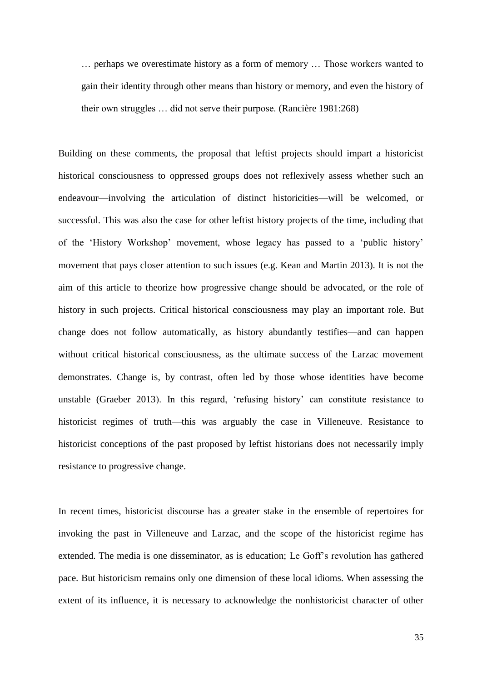… perhaps we overestimate history as a form of memory … Those workers wanted to gain their identity through other means than history or memory, and even the history of their own struggles … did not serve their purpose. (Rancière 1981:268)

Building on these comments, the proposal that leftist projects should impart a historicist historical consciousness to oppressed groups does not reflexively assess whether such an endeavour—involving the articulation of distinct historicities—will be welcomed, or successful. This was also the case for other leftist history projects of the time, including that of the 'History Workshop' movement, whose legacy has passed to a 'public history' movement that pays closer attention to such issues (e.g. Kean and Martin 2013). It is not the aim of this article to theorize how progressive change should be advocated, or the role of history in such projects. Critical historical consciousness may play an important role. But change does not follow automatically, as history abundantly testifies—and can happen without critical historical consciousness, as the ultimate success of the Larzac movement demonstrates. Change is, by contrast, often led by those whose identities have become unstable (Graeber 2013). In this regard, 'refusing history' can constitute resistance to historicist regimes of truth—this was arguably the case in Villeneuve. Resistance to historicist conceptions of the past proposed by leftist historians does not necessarily imply resistance to progressive change.

In recent times, historicist discourse has a greater stake in the ensemble of repertoires for invoking the past in Villeneuve and Larzac, and the scope of the historicist regime has extended. The media is one disseminator, as is education; Le Goff's revolution has gathered pace. But historicism remains only one dimension of these local idioms. When assessing the extent of its influence, it is necessary to acknowledge the nonhistoricist character of other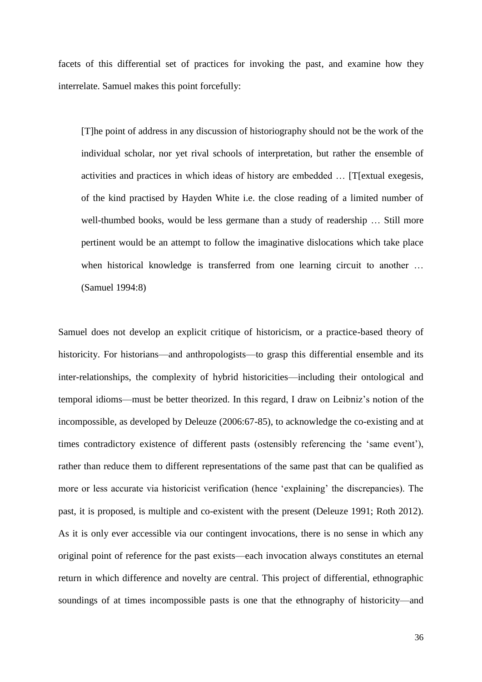facets of this differential set of practices for invoking the past, and examine how they interrelate. Samuel makes this point forcefully:

[T]he point of address in any discussion of historiography should not be the work of the individual scholar, nor yet rival schools of interpretation, but rather the ensemble of activities and practices in which ideas of history are embedded … [T[extual exegesis, of the kind practised by Hayden White i.e. the close reading of a limited number of well-thumbed books, would be less germane than a study of readership … Still more pertinent would be an attempt to follow the imaginative dislocations which take place when historical knowledge is transferred from one learning circuit to another ... (Samuel 1994:8)

Samuel does not develop an explicit critique of historicism, or a practice-based theory of historicity. For historians—and anthropologists—to grasp this differential ensemble and its inter-relationships, the complexity of hybrid historicities—including their ontological and temporal idioms—must be better theorized. In this regard, I draw on Leibniz's notion of the incompossible, as developed by Deleuze (2006:67-85), to acknowledge the co-existing and at times contradictory existence of different pasts (ostensibly referencing the 'same event'), rather than reduce them to different representations of the same past that can be qualified as more or less accurate via historicist verification (hence 'explaining' the discrepancies). The past, it is proposed, is multiple and co-existent with the present (Deleuze 1991; Roth 2012). As it is only ever accessible via our contingent invocations, there is no sense in which any original point of reference for the past exists—each invocation always constitutes an eternal return in which difference and novelty are central. This project of differential, ethnographic soundings of at times incompossible pasts is one that the ethnography of historicity—and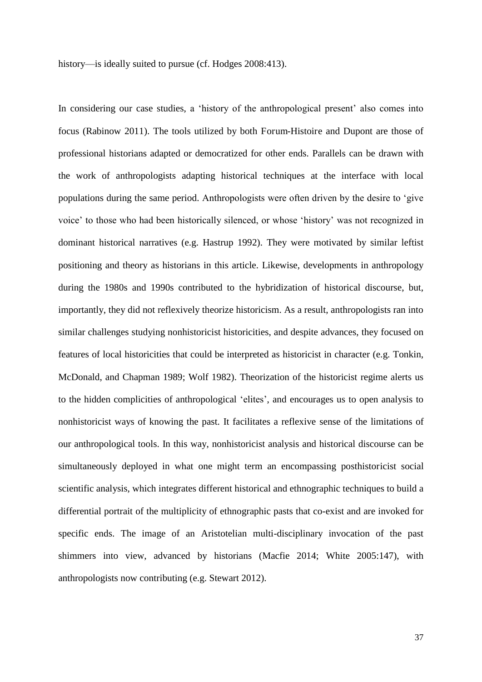history—is ideally suited to pursue (cf. Hodges 2008:413).

In considering our case studies, a 'history of the anthropological present' also comes into focus (Rabinow 2011). The tools utilized by both Forum-Histoire and Dupont are those of professional historians adapted or democratized for other ends. Parallels can be drawn with the work of anthropologists adapting historical techniques at the interface with local populations during the same period. Anthropologists were often driven by the desire to 'give voice' to those who had been historically silenced, or whose 'history' was not recognized in dominant historical narratives (e.g. Hastrup 1992). They were motivated by similar leftist positioning and theory as historians in this article. Likewise, developments in anthropology during the 1980s and 1990s contributed to the hybridization of historical discourse, but, importantly, they did not reflexively theorize historicism. As a result, anthropologists ran into similar challenges studying nonhistoricist historicities, and despite advances, they focused on features of local historicities that could be interpreted as historicist in character (e.g. Tonkin, McDonald, and Chapman 1989; Wolf 1982). Theorization of the historicist regime alerts us to the hidden complicities of anthropological 'elites', and encourages us to open analysis to nonhistoricist ways of knowing the past. It facilitates a reflexive sense of the limitations of our anthropological tools. In this way, nonhistoricist analysis and historical discourse can be simultaneously deployed in what one might term an encompassing posthistoricist social scientific analysis, which integrates different historical and ethnographic techniques to build a differential portrait of the multiplicity of ethnographic pasts that co-exist and are invoked for specific ends. The image of an Aristotelian multi-disciplinary invocation of the past shimmers into view, advanced by historians (Macfie 2014; White 2005:147), with anthropologists now contributing (e.g. Stewart 2012).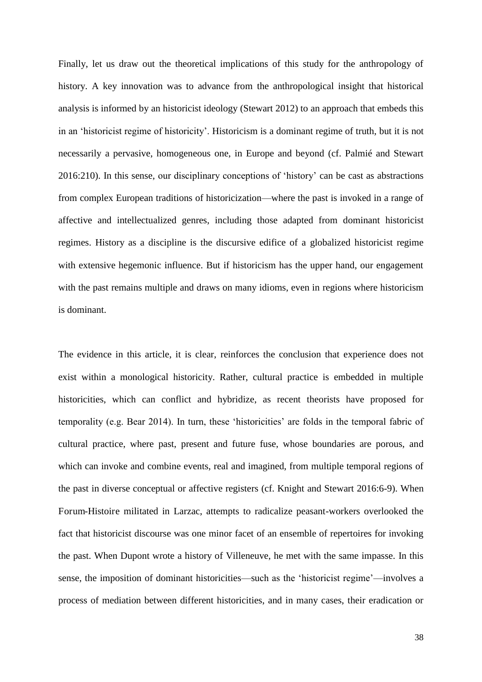Finally, let us draw out the theoretical implications of this study for the anthropology of history. A key innovation was to advance from the anthropological insight that historical analysis is informed by an historicist ideology (Stewart 2012) to an approach that embeds this in an 'historicist regime of historicity'. Historicism is a dominant regime of truth, but it is not necessarily a pervasive, homogeneous one, in Europe and beyond (cf. Palmié and Stewart 2016:210). In this sense, our disciplinary conceptions of 'history' can be cast as abstractions from complex European traditions of historicization—where the past is invoked in a range of affective and intellectualized genres, including those adapted from dominant historicist regimes. History as a discipline is the discursive edifice of a globalized historicist regime with extensive hegemonic influence. But if historicism has the upper hand, our engagement with the past remains multiple and draws on many idioms, even in regions where historicism is dominant.

The evidence in this article, it is clear, reinforces the conclusion that experience does not exist within a monological historicity. Rather, cultural practice is embedded in multiple historicities, which can conflict and hybridize, as recent theorists have proposed for temporality (e.g. Bear 2014). In turn, these 'historicities' are folds in the temporal fabric of cultural practice, where past, present and future fuse, whose boundaries are porous, and which can invoke and combine events, real and imagined, from multiple temporal regions of the past in diverse conceptual or affective registers (cf. Knight and Stewart 2016:6-9). When Forum-Histoire militated in Larzac, attempts to radicalize peasant-workers overlooked the fact that historicist discourse was one minor facet of an ensemble of repertoires for invoking the past. When Dupont wrote a history of Villeneuve, he met with the same impasse. In this sense, the imposition of dominant historicities—such as the 'historicist regime'—involves a process of mediation between different historicities, and in many cases, their eradication or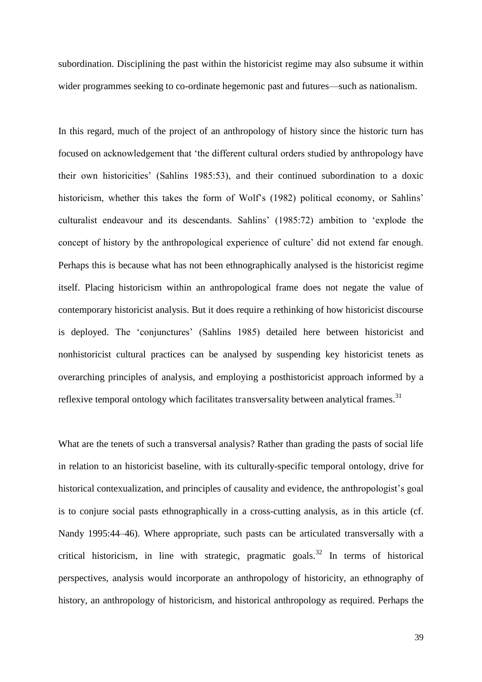subordination. Disciplining the past within the historicist regime may also subsume it within wider programmes seeking to co-ordinate hegemonic past and futures—such as nationalism.

In this regard, much of the project of an anthropology of history since the historic turn has focused on acknowledgement that 'the different cultural orders studied by anthropology have their own historicities' (Sahlins 1985:53), and their continued subordination to a doxic historicism, whether this takes the form of Wolf's (1982) political economy, or Sahlins' culturalist endeavour and its descendants. Sahlins' (1985:72) ambition to 'explode the concept of history by the anthropological experience of culture' did not extend far enough. Perhaps this is because what has not been ethnographically analysed is the historicist regime itself. Placing historicism within an anthropological frame does not negate the value of contemporary historicist analysis. But it does require a rethinking of how historicist discourse is deployed. The 'conjunctures' (Sahlins 1985) detailed here between historicist and nonhistoricist cultural practices can be analysed by suspending key historicist tenets as overarching principles of analysis, and employing a posthistoricist approach informed by a reflexive temporal ontology which facilitates transversality between analytical frames.<sup>31</sup>

What are the tenets of such a transversal analysis? Rather than grading the pasts of social life in relation to an historicist baseline, with its culturally-specific temporal ontology, drive for historical contexualization, and principles of causality and evidence, the anthropologist's goal is to conjure social pasts ethnographically in a cross-cutting analysis, as in this article (cf. Nandy 1995:44–46). Where appropriate, such pasts can be articulated transversally with a critical historicism, in line with strategic, pragmatic goals.<sup>32</sup> In terms of historical perspectives, analysis would incorporate an anthropology of historicity, an ethnography of history, an anthropology of historicism, and historical anthropology as required. Perhaps the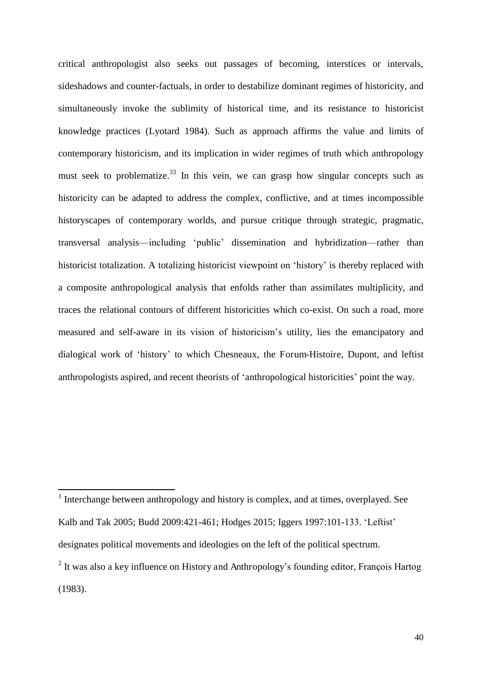critical anthropologist also seeks out passages of becoming, interstices or intervals, sideshadows and counter-factuals, in order to destabilize dominant regimes of historicity, and simultaneously invoke the sublimity of historical time, and its resistance to historicist knowledge practices (Lyotard 1984). Such as approach affirms the value and limits of contemporary historicism, and its implication in wider regimes of truth which anthropology must seek to problematize.<sup>33</sup> In this vein, we can grasp how singular concepts such as historicity can be adapted to address the complex, conflictive, and at times incompossible historyscapes of contemporary worlds, and pursue critique through strategic, pragmatic, transversal analysis—including 'public' dissemination and hybridization—rather than historicist totalization. A totalizing historicist viewpoint on 'history' is thereby replaced with a composite anthropological analysis that enfolds rather than assimilates multiplicity, and traces the relational contours of different historicities which co-exist. On such a road, more measured and self-aware in its vision of historicism's utility, lies the emancipatory and dialogical work of 'history' to which Chesneaux, the Forum-Histoire, Dupont, and leftist anthropologists aspired, and recent theorists of 'anthropological historicities' point the way.

 $\overline{a}$ 

<sup>&</sup>lt;sup>1</sup> Interchange between anthropology and history is complex, and at times, overplayed. See Kalb and Tak 2005; Budd 2009:421-461; Hodges 2015; Iggers 1997:101-133. 'Leftist' designates political movements and ideologies on the left of the political spectrum.

 $2$  It was also a key influence on History and Anthropology's founding editor, François Hartog (1983).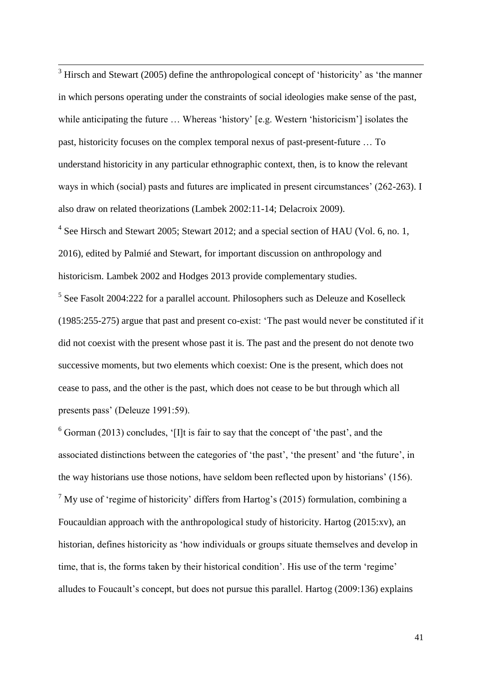$3$  Hirsch and Stewart (2005) define the anthropological concept of 'historicity' as 'the manner in which persons operating under the constraints of social ideologies make sense of the past, while anticipating the future … Whereas 'history' [e.g. Western 'historicism'] isolates the past, historicity focuses on the complex temporal nexus of past-present-future … To understand historicity in any particular ethnographic context, then, is to know the relevant ways in which (social) pasts and futures are implicated in present circumstances' (262-263). I also draw on related theorizations (Lambek 2002:11-14; Delacroix 2009).

 $\overline{a}$ 

<sup>4</sup> See Hirsch and Stewart 2005; Stewart 2012; and a special section of HAU (Vol. 6, no. 1, 2016), edited by Palmié and Stewart, for important discussion on anthropology and historicism. Lambek 2002 and Hodges 2013 provide complementary studies.

<sup>5</sup> See Fasolt 2004:222 for a parallel account. Philosophers such as Deleuze and Koselleck (1985:255-275) argue that past and present co-exist: 'The past would never be constituted if it did not coexist with the present whose past it is. The past and the present do not denote two successive moments, but two elements which coexist: One is the present, which does not cease to pass, and the other is the past, which does not cease to be but through which all presents pass' (Deleuze 1991:59).

 $6$  Gorman (2013) concludes, '[I]t is fair to say that the concept of 'the past', and the associated distinctions between the categories of 'the past', 'the present' and 'the future', in the way historians use those notions, have seldom been reflected upon by historians' (156).  $<sup>7</sup>$  My use of 'regime of historicity' differs from Hartog's (2015) formulation, combining a</sup> Foucauldian approach with the anthropological study of historicity. Hartog (2015:xv), an historian, defines historicity as 'how individuals or groups situate themselves and develop in time, that is, the forms taken by their historical condition'. His use of the term 'regime' alludes to Foucault's concept, but does not pursue this parallel. Hartog (2009:136) explains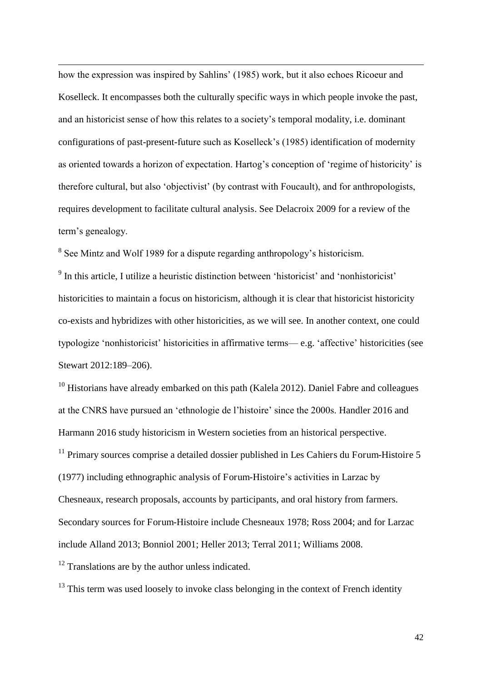how the expression was inspired by Sahlins' (1985) work, but it also echoes Ricoeur and Koselleck. It encompasses both the culturally specific ways in which people invoke the past, and an historicist sense of how this relates to a society's temporal modality, i.e. dominant configurations of past-present-future such as Koselleck's (1985) identification of modernity as oriented towards a horizon of expectation. Hartog's conception of 'regime of historicity' is therefore cultural, but also 'objectivist' (by contrast with Foucault), and for anthropologists, requires development to facilitate cultural analysis. See Delacroix 2009 for a review of the term's genealogy.

<sup>8</sup> See Mintz and Wolf 1989 for a dispute regarding anthropology's historicism.

 $\overline{a}$ 

<sup>9</sup> In this article, I utilize a heuristic distinction between 'historicist' and 'nonhistoricist' historicities to maintain a focus on historicism, although it is clear that historicist historicity co-exists and hybridizes with other historicities, as we will see. In another context, one could typologize 'nonhistoricist' historicities in affirmative terms— e.g. 'affective' historicities (see Stewart 2012:189–206).

<sup>10</sup> Historians have already embarked on this path (Kalela 2012). Daniel Fabre and colleagues at the CNRS have pursued an 'ethnologie de l'histoire' since the 2000s. Handler 2016 and Harmann 2016 study historicism in Western societies from an historical perspective.

 $11$  Primary sources comprise a detailed dossier published in Les Cahiers du Forum-Histoire 5 (1977) including ethnographic analysis of Forum-Histoire's activities in Larzac by Chesneaux, research proposals, accounts by participants, and oral history from farmers. Secondary sources for Forum-Histoire include Chesneaux 1978; Ross 2004; and for Larzac include Alland 2013; Bonniol 2001; Heller 2013; Terral 2011; Williams 2008.

<sup>12</sup> Translations are by the author unless indicated.

 $13$  This term was used loosely to invoke class belonging in the context of French identity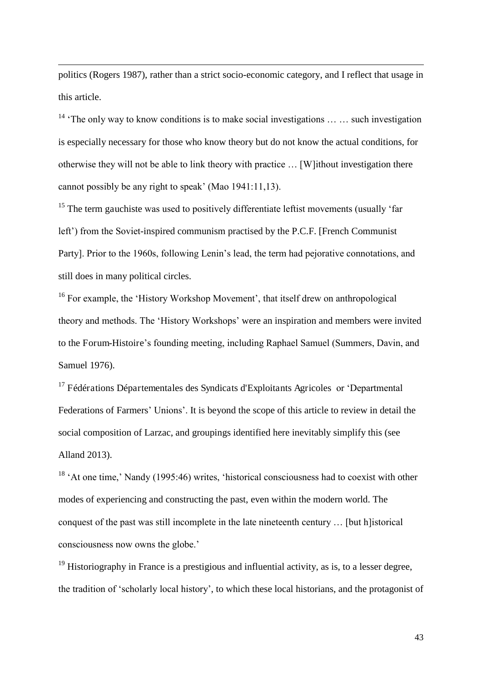politics (Rogers 1987), rather than a strict socio-economic category, and I reflect that usage in this article.

 $\overline{a}$ 

<sup>14</sup> 'The only way to know conditions is to make social investigations ... ... such investigation is especially necessary for those who know theory but do not know the actual conditions, for otherwise they will not be able to link theory with practice … [W]ithout investigation there cannot possibly be any right to speak' (Mao 1941:11,13).

 $15$  The term gauchiste was used to positively differentiate leftist movements (usually 'far left') from the Soviet-inspired communism practised by the P.C.F. [French Communist Party]. Prior to the 1960s, following Lenin's lead, the term had pejorative connotations, and still does in many political circles.

<sup>16</sup> For example, the 'History Workshop Movement', that itself drew on anthropological theory and methods. The 'History Workshops' were an inspiration and members were invited to the Forum-Histoire's founding meeting, including Raphael Samuel (Summers, Davin, and Samuel 1976).

<sup>17</sup> Fédérations Départementales des Syndicats d'Exploitants Agricoles or 'Departmental Federations of Farmers' Unions'. It is beyond the scope of this article to review in detail the social composition of Larzac, and groupings identified here inevitably simplify this (see Alland 2013).

<sup>18</sup> 'At one time,' Nandy (1995:46) writes, 'historical consciousness had to coexist with other modes of experiencing and constructing the past, even within the modern world. The conquest of the past was still incomplete in the late nineteenth century … [but h]istorical consciousness now owns the globe.'

 $19$  Historiography in France is a prestigious and influential activity, as is, to a lesser degree, the tradition of 'scholarly local history', to which these local historians, and the protagonist of

43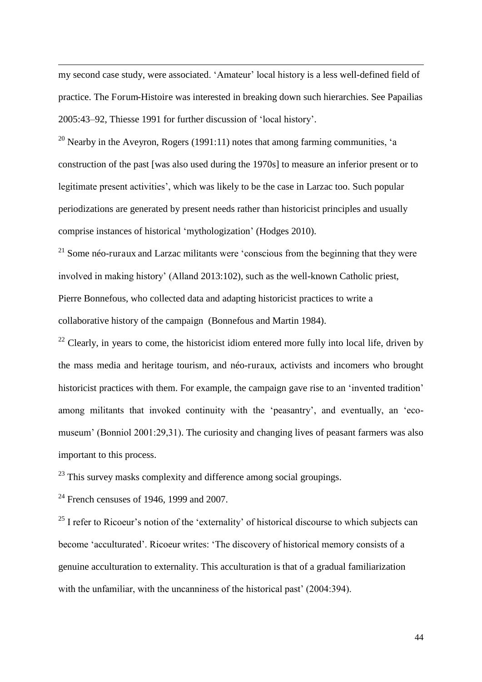my second case study, were associated. 'Amateur' local history is a less well-defined field of practice. The Forum-Histoire was interested in breaking down such hierarchies. See Papailias 2005:43–92, Thiesse 1991 for further discussion of 'local history'.

<sup>20</sup> Nearby in the Aveyron, Rogers (1991:11) notes that among farming communities, 'a construction of the past [was also used during the 1970s] to measure an inferior present or to legitimate present activities', which was likely to be the case in Larzac too. Such popular periodizations are generated by present needs rather than historicist principles and usually comprise instances of historical 'mythologization' (Hodges 2010).

 $21$  Some néo-ruraux and Larzac militants were 'conscious from the beginning that they were involved in making history' (Alland 2013:102), such as the well-known Catholic priest, Pierre Bonnefous, who collected data and adapting historicist practices to write a collaborative history of the campaign (Bonnefous and Martin 1984).

 $^{22}$  Clearly, in years to come, the historicist idiom entered more fully into local life, driven by the mass media and heritage tourism, and néo-ruraux, activists and incomers who brought historicist practices with them. For example, the campaign gave rise to an 'invented tradition' among militants that invoked continuity with the 'peasantry', and eventually, an 'ecomuseum' (Bonniol 2001:29,31). The curiosity and changing lives of peasant farmers was also important to this process.

 $23$  This survey masks complexity and difference among social groupings.

 $24$  French censuses of 1946, 1999 and 2007.

 $\overline{a}$ 

 $25$  I refer to Ricoeur's notion of the 'externality' of historical discourse to which subjects can become 'acculturated'. Ricoeur writes: 'The discovery of historical memory consists of a genuine acculturation to externality. This acculturation is that of a gradual familiarization with the unfamiliar, with the uncanniness of the historical past' (2004:394).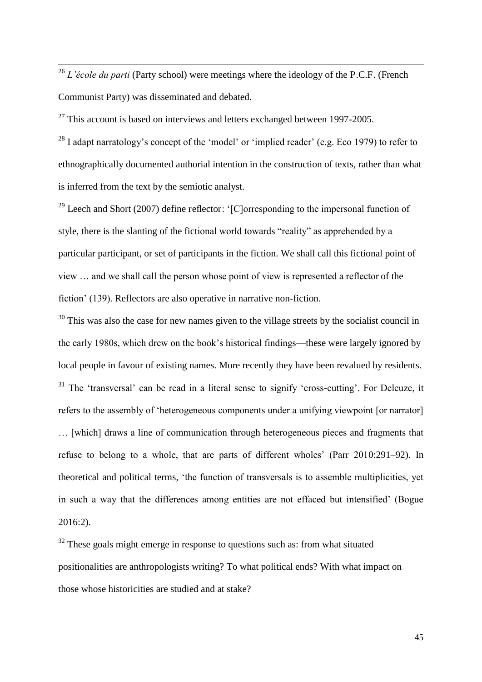<sup>26</sup> *L'école du parti* (Party school) were meetings where the ideology of the P.C.F. (French Communist Party) was disseminated and debated.

 $27$  This account is based on interviews and letters exchanged between 1997-2005.

 $\overline{a}$ 

 $^{28}$  I adapt narratology's concept of the 'model' or 'implied reader' (e.g. Eco 1979) to refer to ethnographically documented authorial intention in the construction of texts, rather than what is inferred from the text by the semiotic analyst.

<sup>29</sup> Leech and Short (2007) define reflector: '[C]orresponding to the impersonal function of style, there is the slanting of the fictional world towards "reality" as apprehended by a particular participant, or set of participants in the fiction. We shall call this fictional point of view … and we shall call the person whose point of view is represented a reflector of the fiction' (139). Reflectors are also operative in narrative non-fiction.

<sup>30</sup> This was also the case for new names given to the village streets by the socialist council in the early 1980s, which drew on the book's historical findings—these were largely ignored by local people in favour of existing names. More recently they have been revalued by residents. <sup>31</sup> The 'transversal' can be read in a literal sense to signify 'cross-cutting'. For Deleuze, it refers to the assembly of 'heterogeneous components under a unifying viewpoint [or narrator] … [which] draws a line of communication through heterogeneous pieces and fragments that refuse to belong to a whole, that are parts of different wholes' (Parr 2010:291–92). In theoretical and political terms, 'the function of transversals is to assemble multiplicities, yet in such a way that the differences among entities are not effaced but intensified' (Bogue 2016:2).

 $32$  These goals might emerge in response to questions such as: from what situated positionalities are anthropologists writing? To what political ends? With what impact on those whose historicities are studied and at stake?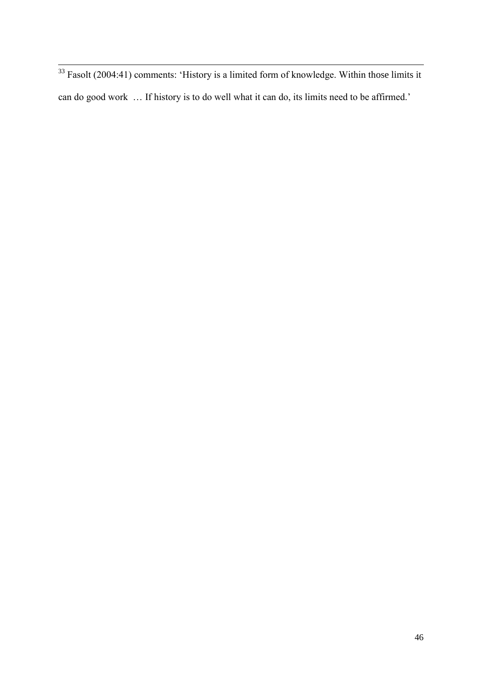$33$  Fasolt (2004:41) comments: 'History is a limited form of knowledge. Within those limits it can do good work … If history is to do well what it can do, its limits need to be affirmed.'

 $\overline{a}$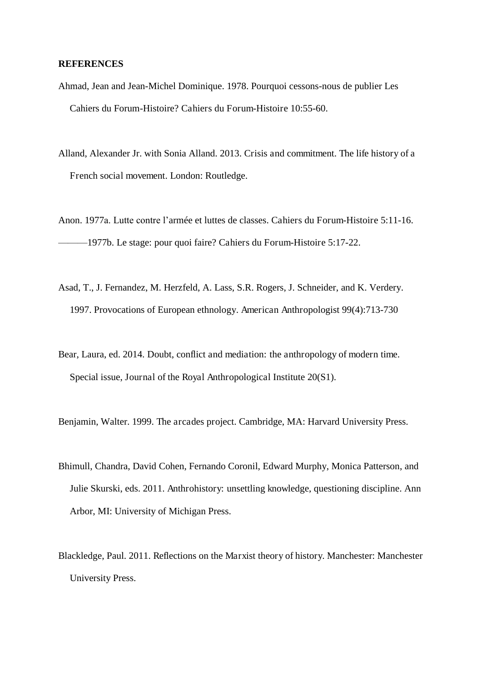#### **REFERENCES**

- Ahmad, Jean and Jean-Michel Dominique. 1978. Pourquoi cessons-nous de publier Les Cahiers du Forum-Histoire? Cahiers du Forum-Histoire 10:55-60.
- Alland, Alexander Jr. with Sonia Alland. 2013. Crisis and commitment. The life history of a French social movement. London: Routledge.

Anon. 1977a. Lutte contre l'armée et luttes de classes. Cahiers du Forum-Histoire 5:11-16. ———1977b. Le stage: pour quoi faire? Cahiers du Forum-Histoire 5:17-22.

- Asad, T., J. Fernandez, M. Herzfeld, A. Lass, S.R. Rogers, J. Schneider, and K. Verdery. 1997. Provocations of European ethnology. American Anthropologist 99(4):713-730
- Bear, Laura, ed. 2014. Doubt, conflict and mediation: the anthropology of modern time. Special issue, Journal of the Royal Anthropological Institute 20(S1).

Benjamin, Walter. 1999. The arcades project. Cambridge, MA: Harvard University Press.

- Bhimull, Chandra, David Cohen, Fernando Coronil, Edward Murphy, Monica Patterson, and Julie Skurski, eds. 2011. Anthrohistory: unsettling knowledge, questioning discipline. Ann Arbor, MI: University of Michigan Press.
- Blackledge, Paul. 2011. Reflections on the Marxist theory of history. Manchester: Manchester University Press.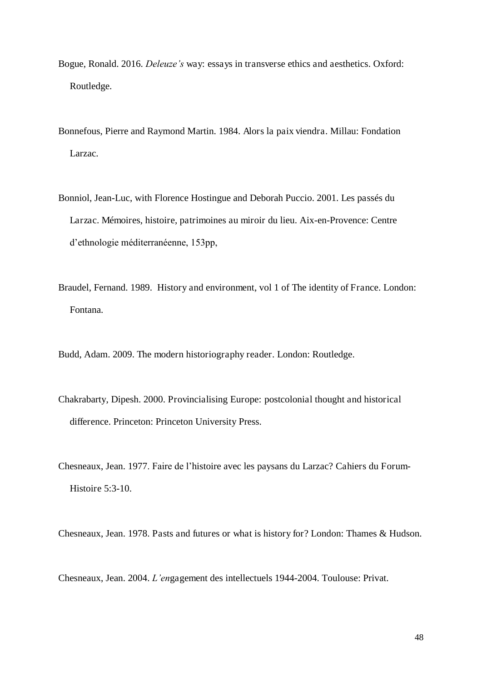- Bogue, Ronald. 2016. *Deleuze's* way: essays in transverse ethics and aesthetics. Oxford: Routledge.
- Bonnefous, Pierre and Raymond Martin. 1984. Alors la paix viendra. Millau: Fondation Larzac.
- Bonniol, Jean-Luc, with Florence Hostingue and Deborah Puccio. 2001. Les passés du Larzac. Mémoires, histoire, patrimoines au miroir du lieu. Aix-en-Provence: Centre d'ethnologie méditerranéenne, 153pp,
- Braudel, Fernand. 1989. History and environment, vol 1 of The identity of France. London: Fontana.
- Budd, Adam. 2009. The modern historiography reader. London: Routledge.
- Chakrabarty, Dipesh. 2000. Provincialising Europe: postcolonial thought and historical difference. Princeton: Princeton University Press.
- Chesneaux, Jean. 1977. Faire de l'histoire avec les paysans du Larzac? Cahiers du Forum-Histoire 5:3-10.

Chesneaux, Jean. 1978. Pasts and futures or what is history for? London: Thames & Hudson.

Chesneaux, Jean. 2004. *L'en*gagement des intellectuels 1944-2004. Toulouse: Privat.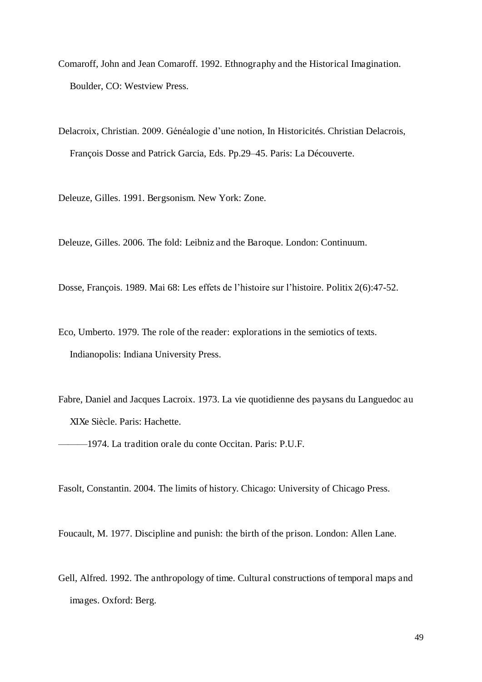- Comaroff, John and Jean Comaroff. 1992. Ethnography and the Historical Imagination. Boulder, CO: Westview Press.
- Delacroix, Christian. 2009. Généalogie d'une notion, In Historicités. Christian Delacrois, François Dosse and Patrick Garcia, Eds. Pp.29–45. Paris: La Découverte.

Deleuze, Gilles. 1991. Bergsonism. New York: Zone.

Deleuze, Gilles. 2006. The fold: Leibniz and the Baroque. London: Continuum.

Dosse, François. 1989. Mai 68: Les effets de l'histoire sur l'histoire. Politix 2(6):47-52.

Eco, Umberto. 1979. The role of the reader: explorations in the semiotics of texts. Indianopolis: Indiana University Press.

Fabre, Daniel and Jacques Lacroix. 1973. La vie quotidienne des paysans du Languedoc au XIXe Siècle. Paris: Hachette.

———1974. La tradition orale du conte Occitan. Paris: P.U.F.

Fasolt, Constantin. 2004. The limits of history. Chicago: University of Chicago Press.

Foucault, M. 1977. Discipline and punish: the birth of the prison. London: Allen Lane.

Gell, Alfred. 1992. The anthropology of time. Cultural constructions of temporal maps and images. Oxford: Berg.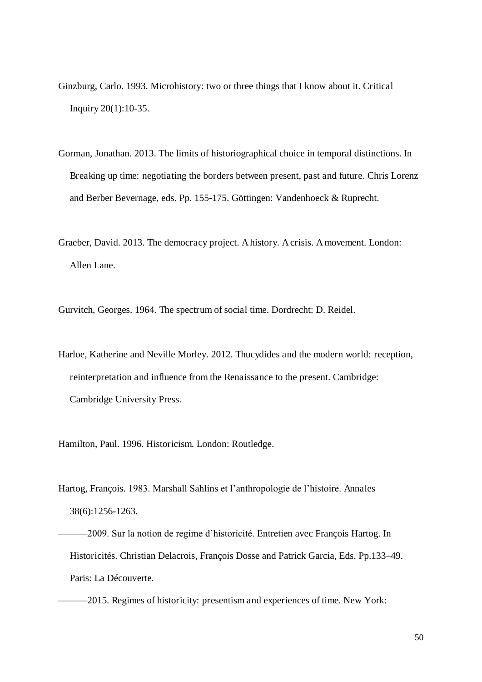- Ginzburg, Carlo. 1993. Microhistory: two or three things that I know about it. Critical Inquiry 20(1):10-35.
- Gorman, Jonathan. 2013. The limits of historiographical choice in temporal distinctions. In Breaking up time: negotiating the borders between present, past and future. Chris Lorenz and Berber Bevernage, eds. Pp. 155-175. Göttingen: Vandenhoeck & Ruprecht.
- Graeber, David. 2013. The democracy project. A history. A crisis. A movement. London: Allen Lane.

Gurvitch, Georges. 1964. The spectrum of social time. Dordrecht: D. Reidel.

Harloe, Katherine and Neville Morley. 2012. Thucydides and the modern world: reception, reinterpretation and influence from the Renaissance to the present. Cambridge: Cambridge University Press.

Hamilton, Paul. 1996. Historicism. London: Routledge.

Hartog, François. 1983. Marshall Sahlins et l'anthropologie de l'histoire. Annales 38(6):1256-1263.

-2009. Sur la notion de regime d'historicité. Entretien avec François Hartog. In Historicités. Christian Delacrois, François Dosse and Patrick Garcia, Eds. Pp.133–49. Paris: La Découverte.

-2015. Regimes of historicity: presentism and experiences of time. New York: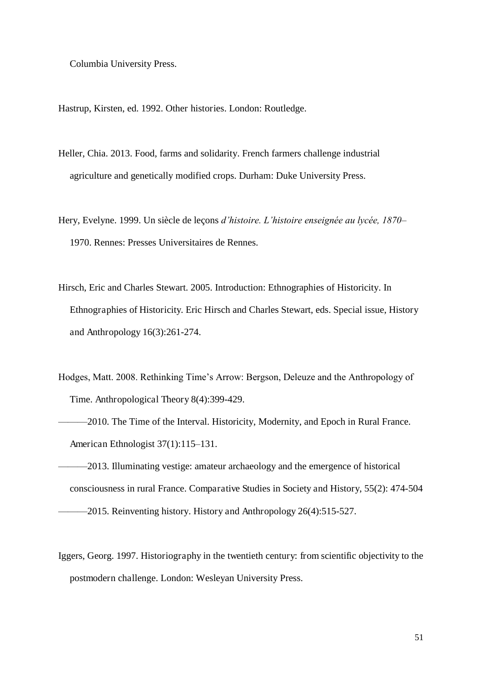Columbia University Press.

Hastrup, Kirsten, ed. 1992. Other histories. London: Routledge.

- Heller, Chia. 2013. Food, farms and solidarity. French farmers challenge industrial agriculture and genetically modified crops. Durham: Duke University Press.
- Hery, Evelyne. 1999. Un siècle de leçons *d'histoire. L'histoire enseignée au lycée, 1870–* 1970. Rennes: Presses Universitaires de Rennes.
- Hirsch, Eric and Charles Stewart. 2005. Introduction: Ethnographies of Historicity. In Ethnographies of Historicity. Eric Hirsch and Charles Stewart, eds. Special issue, History and Anthropology 16(3):261-274.
- Hodges, Matt. 2008. Rethinking Time's Arrow: Bergson, Deleuze and the Anthropology of Time. Anthropological Theory 8(4):399-429.
- -2010. The Time of the Interval. Historicity, Modernity, and Epoch in Rural France. American Ethnologist 37(1):115–131.
- -2013. Illuminating vestige: amateur archaeology and the emergence of historical consciousness in rural France. Comparative Studies in Society and History, 55(2): 474-504  $-2015$ . Reinventing history. History and Anthropology 26(4):515-527.
- Iggers, Georg. 1997. Historiography in the twentieth century: from scientific objectivity to the postmodern challenge. London: Wesleyan University Press.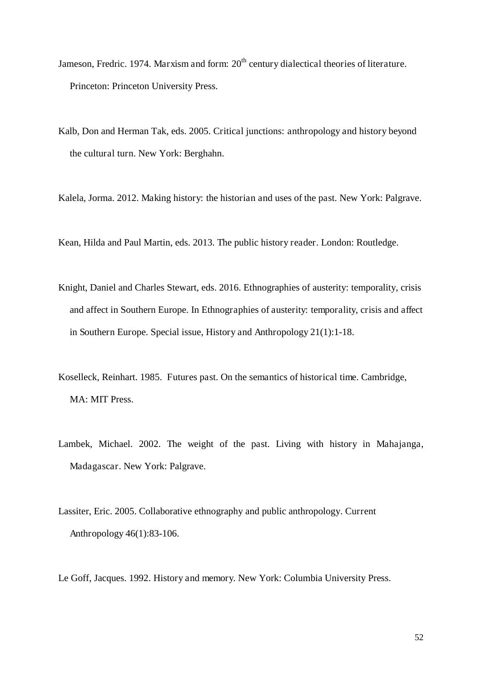- Jameson, Fredric. 1974. Marxism and form: 20<sup>th</sup> century dialectical theories of literature. Princeton: Princeton University Press.
- Kalb, Don and Herman Tak, eds. 2005. Critical junctions: anthropology and history beyond the cultural turn. New York: Berghahn.
- Kalela, Jorma. 2012. Making history: the historian and uses of the past. New York: Palgrave.
- Kean, Hilda and Paul Martin, eds. 2013. The public history reader. London: Routledge.
- Knight, Daniel and Charles Stewart, eds. 2016. Ethnographies of austerity: temporality, crisis and affect in Southern Europe. In Ethnographies of austerity: temporality, crisis and affect in Southern Europe. Special issue, History and Anthropology 21(1):1-18.
- Koselleck, Reinhart. 1985. Futures past. On the semantics of historical time. Cambridge, MA: MIT Press.
- Lambek, Michael. 2002. The weight of the past. Living with history in Mahajanga, Madagascar. New York: Palgrave.
- Lassiter, Eric. 2005. Collaborative ethnography and public anthropology. Current Anthropology 46(1):83-106.

Le Goff, Jacques. 1992. History and memory. New York: Columbia University Press.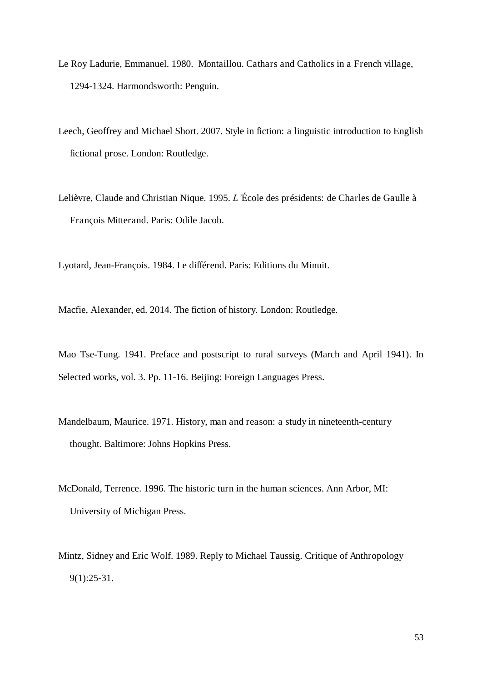- Le Roy Ladurie, Emmanuel. 1980. Montaillou. Cathars and Catholics in a French village, 1294-1324. Harmondsworth: Penguin.
- Leech, Geoffrey and Michael Short. 2007. Style in fiction: a linguistic introduction to English fictional prose. London: Routledge.
- Lelièvre, Claude and Christian Nique. 1995. *L'*École des présidents: de Charles de Gaulle à François Mitterand. Paris: Odile Jacob.

Lyotard, Jean-François. 1984. Le différend. Paris: Editions du Minuit.

Macfie, Alexander, ed. 2014. The fiction of history. London: Routledge.

Mao Tse-Tung. 1941. Preface and postscript to rural surveys (March and April 1941). In Selected works, vol. 3. Pp. 11-16. Beijing: Foreign Languages Press.

- Mandelbaum, Maurice. 1971. History, man and reason: a study in nineteenth-century thought. Baltimore: Johns Hopkins Press.
- McDonald, Terrence. 1996. The historic turn in the human sciences. Ann Arbor, MI: University of Michigan Press.
- Mintz, Sidney and Eric Wolf. 1989. Reply to Michael Taussig. Critique of Anthropology 9(1):25-31.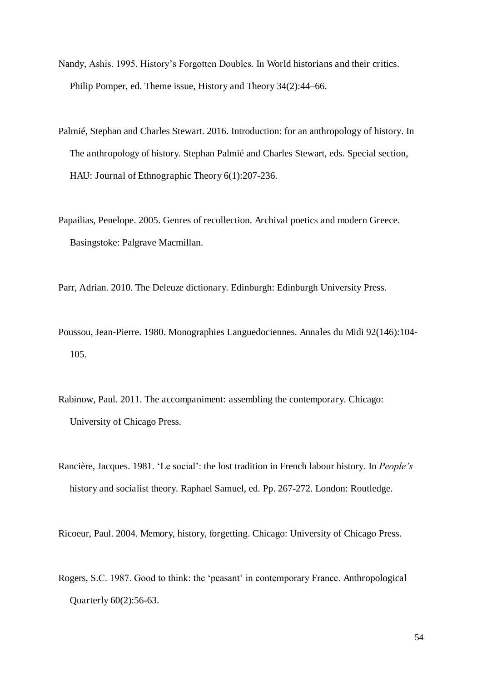- Nandy, Ashis. 1995. History's Forgotten Doubles. In World historians and their critics. Philip Pomper, ed. Theme issue, History and Theory 34(2):44–66.
- Palmié, Stephan and Charles Stewart. 2016. Introduction: for an anthropology of history. In The anthropology of history. Stephan Palmié and Charles Stewart, eds. Special section, HAU: Journal of Ethnographic Theory 6(1):207-236.
- Papailias, Penelope. 2005. Genres of recollection. Archival poetics and modern Greece. Basingstoke: Palgrave Macmillan.
- Parr, Adrian. 2010. The Deleuze dictionary. Edinburgh: Edinburgh University Press.
- Poussou, Jean-Pierre. 1980. Monographies Languedociennes. Annales du Midi 92(146):104- 105.
- Rabinow, Paul. 2011. The accompaniment: assembling the contemporary. Chicago: University of Chicago Press.
- Rancière, Jacques. 1981. 'Le social': the lost tradition in French labour history. In *People's*  history and socialist theory. Raphael Samuel, ed. Pp. 267-272. London: Routledge.

Ricoeur, Paul. 2004. Memory, history, forgetting. Chicago: University of Chicago Press.

Rogers, S.C. 1987. Good to think: the 'peasant' in contemporary France. Anthropological Quarterly 60(2):56-63.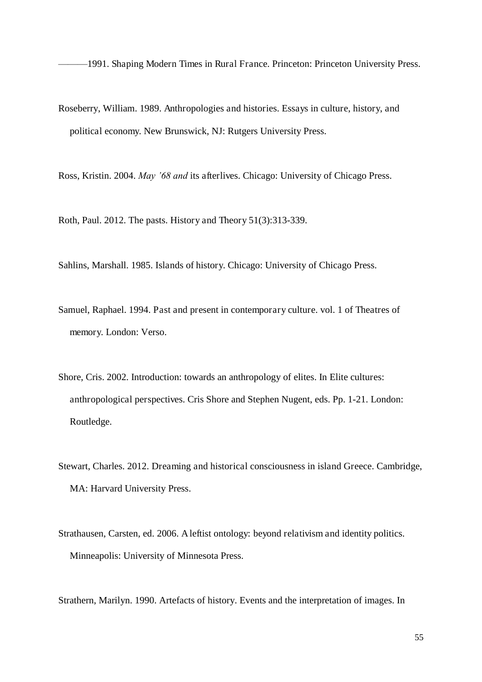———1991. Shaping Modern Times in Rural France. Princeton: Princeton University Press.

Roseberry, William. 1989. Anthropologies and histories. Essays in culture, history, and political economy. New Brunswick, NJ: Rutgers University Press.

Ross, Kristin. 2004. *May '68 and* its afterlives. Chicago: University of Chicago Press.

Roth, Paul. 2012. The pasts. History and Theory 51(3):313-339.

Sahlins, Marshall. 1985. Islands of history. Chicago: University of Chicago Press.

- Samuel, Raphael. 1994. Past and present in contemporary culture. vol. 1 of Theatres of memory. London: Verso.
- Shore, Cris. 2002. Introduction: towards an anthropology of elites. In Elite cultures: anthropological perspectives. Cris Shore and Stephen Nugent, eds. Pp. 1-21. London: Routledge.
- Stewart, Charles. 2012. Dreaming and historical consciousness in island Greece. Cambridge, MA: Harvard University Press.
- Strathausen, Carsten, ed. 2006. A leftist ontology: beyond relativism and identity politics. Minneapolis: University of Minnesota Press.

Strathern, Marilyn. 1990. Artefacts of history. Events and the interpretation of images. In